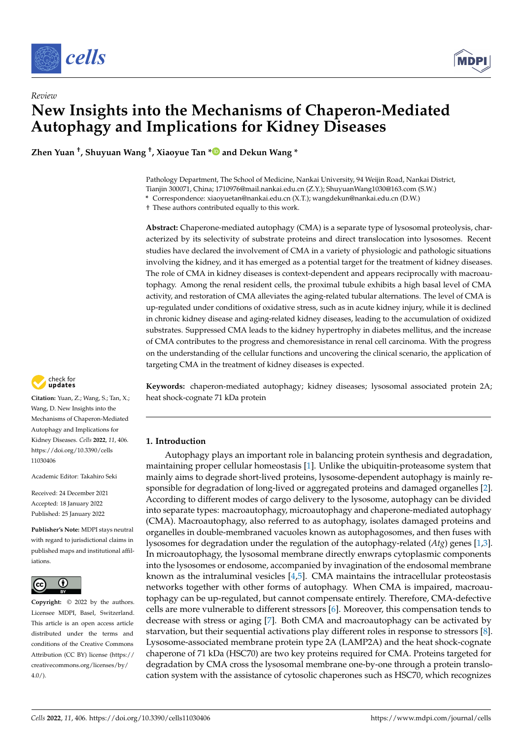



# *Review* **New Insights into the Mechanisms of Chaperon-Mediated Autophagy and Implications for Kidney Diseases**

**Zhen Yuan † , Shuyuan Wang † , Xiaoyue Tan [\\*](https://orcid.org/0000-0003-3394-9063) and Dekun Wang \***

Pathology Department, The School of Medicine, Nankai University, 94 Weijin Road, Nankai District, Tianjin 300071, China; 1710976@mail.nankai.edu.cn (Z.Y.); ShuyuanWang1030@163.com (S.W.) **\*** Correspondence: xiaoyuetan@nankai.edu.cn (X.T.); wangdekun@nankai.edu.cn (D.W.)

† These authors contributed equally to this work.

**Abstract:** Chaperone-mediated autophagy (CMA) is a separate type of lysosomal proteolysis, characterized by its selectivity of substrate proteins and direct translocation into lysosomes. Recent studies have declared the involvement of CMA in a variety of physiologic and pathologic situations involving the kidney, and it has emerged as a potential target for the treatment of kidney diseases. The role of CMA in kidney diseases is context-dependent and appears reciprocally with macroautophagy. Among the renal resident cells, the proximal tubule exhibits a high basal level of CMA activity, and restoration of CMA alleviates the aging-related tubular alternations. The level of CMA is up-regulated under conditions of oxidative stress, such as in acute kidney injury, while it is declined in chronic kidney disease and aging-related kidney diseases, leading to the accumulation of oxidized substrates. Suppressed CMA leads to the kidney hypertrophy in diabetes mellitus, and the increase of CMA contributes to the progress and chemoresistance in renal cell carcinoma. With the progress on the understanding of the cellular functions and uncovering the clinical scenario, the application of targeting CMA in the treatment of kidney diseases is expected.

**Keywords:** chaperon-mediated autophagy; kidney diseases; lysosomal associated protein 2A; heat shock-cognate 71 kDa protein

# **1. Introduction**

Autophagy plays an important role in balancing protein synthesis and degradation, maintaining proper cellular homeostasis [\[1\]](#page-11-0). Unlike the ubiquitin-proteasome system that mainly aims to degrade short-lived proteins, lysosome-dependent autophagy is mainly responsible for degradation of long-lived or aggregated proteins and damaged organelles [\[2\]](#page-11-1). According to different modes of cargo delivery to the lysosome, autophagy can be divided into separate types: macroautophagy, microautophagy and chaperone-mediated autophagy (CMA). Macroautophagy, also referred to as autophagy, isolates damaged proteins and organelles in double-membraned vacuoles known as autophagosomes, and then fuses with lysosomes for degradation under the regulation of the autophagy-related (*Atg*) genes [\[1](#page-11-0)[,3\]](#page-11-2). In microautophagy, the lysosomal membrane directly enwraps cytoplasmic components into the lysosomes or endosome, accompanied by invagination of the endosomal membrane known as the intraluminal vesicles  $[4,5]$  $[4,5]$ . CMA maintains the intracellular proteostasis networks together with other forms of autophagy. When CMA is impaired, macroautophagy can be up-regulated, but cannot compensate entirely. Therefore, CMA-defective cells are more vulnerable to different stressors [\[6\]](#page-11-5). Moreover, this compensation tends to decrease with stress or aging [\[7\]](#page-11-6). Both CMA and macroautophagy can be activated by starvation, but their sequential activations play different roles in response to stressors [\[8\]](#page-11-7). Lysosome-associated membrane protein type 2A (LAMP2A) and the heat shock-cognate chaperone of 71 kDa (HSC70) are two key proteins required for CMA. Proteins targeted for degradation by CMA cross the lysosomal membrane one-by-one through a protein translocation system with the assistance of cytosolic chaperones such as HSC70, which recognizes



**Citation:** Yuan, Z.; Wang, S.; Tan, X.; Wang, D. New Insights into the Mechanisms of Chaperon-Mediated Autophagy and Implications for Kidney Diseases. *Cells* **2022**, *11*, 406. [https://doi.org/10.3390/cells](https://doi.org/10.3390/cells11030406) [11030406](https://doi.org/10.3390/cells11030406)

Academic Editor: Takahiro Seki

Received: 24 December 2021 Accepted: 18 January 2022 Published: 25 January 2022

**Publisher's Note:** MDPI stays neutral with regard to jurisdictional claims in published maps and institutional affiliations.



**Copyright:** © 2022 by the authors. Licensee MDPI, Basel, Switzerland. This article is an open access article distributed under the terms and conditions of the Creative Commons Attribution (CC BY) license [\(https://](https://creativecommons.org/licenses/by/4.0/) [creativecommons.org/licenses/by/](https://creativecommons.org/licenses/by/4.0/)  $4.0/$ ).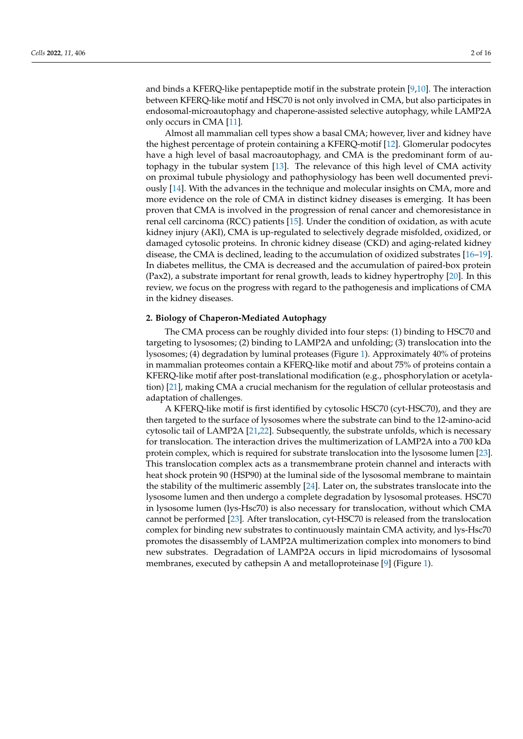and binds a KFERQ-like pentapeptide motif in the substrate protein [\[9,](#page-11-8)[10\]](#page-11-9). The interaction between KFERQ-like motif and HSC70 is not only involved in CMA, but also participates in endosomal-microautophagy and chaperone-assisted selective autophagy, while LAMP2A only occurs in CMA [\[11\]](#page-11-10).

Almost all mammalian cell types show a basal CMA; however, liver and kidney have the highest percentage of protein containing a KFERQ-motif [\[12\]](#page-11-11). Glomerular podocytes have a high level of basal macroautophagy, and CMA is the predominant form of autophagy in the tubular system [\[13\]](#page-11-12). The relevance of this high level of CMA activity on proximal tubule physiology and pathophysiology has been well documented previously [\[14\]](#page-12-0). With the advances in the technique and molecular insights on CMA, more and more evidence on the role of CMA in distinct kidney diseases is emerging. It has been proven that CMA is involved in the progression of renal cancer and chemoresistance in renal cell carcinoma (RCC) patients [\[15\]](#page-12-1). Under the condition of oxidation, as with acute kidney injury (AKI), CMA is up-regulated to selectively degrade misfolded, oxidized, or damaged cytosolic proteins. In chronic kidney disease (CKD) and aging-related kidney disease, the CMA is declined, leading to the accumulation of oxidized substrates [\[16](#page-12-2)[–19\]](#page-12-3). In diabetes mellitus, the CMA is decreased and the accumulation of paired-box protein (Pax2), a substrate important for renal growth, leads to kidney hypertrophy [\[20\]](#page-12-4). In this review, we focus on the progress with regard to the pathogenesis and implications of CMA in the kidney diseases.

#### **2. Biology of Chaperon-Mediated Autophagy**

The CMA process can be roughly divided into four steps: (1) binding to HSC70 and targeting to lysosomes; (2) binding to LAMP2A and unfolding; (3) translocation into the lysosomes; (4) degradation by luminal proteases (Figure [1\)](#page-2-0). Approximately 40% of proteins in mammalian proteomes contain a KFERQ-like motif and about 75% of proteins contain a KFERQ-like motif after post-translational modification (e.g., phosphorylation or acetylation) [\[21\]](#page-12-5), making CMA a crucial mechanism for the regulation of cellular proteostasis and adaptation of challenges.

A KFERQ-like motif is first identified by cytosolic HSC70 (cyt-HSC70), and they are then targeted to the surface of lysosomes where the substrate can bind to the 12-amino-acid cytosolic tail of LAMP2A [\[21,](#page-12-5)[22\]](#page-12-6). Subsequently, the substrate unfolds, which is necessary for translocation. The interaction drives the multimerization of LAMP2A into a 700 kDa protein complex, which is required for substrate translocation into the lysosome lumen [\[23\]](#page-12-7). This translocation complex acts as a transmembrane protein channel and interacts with heat shock protein 90 (HSP90) at the luminal side of the lysosomal membrane to maintain the stability of the multimeric assembly [\[24\]](#page-12-8). Later on, the substrates translocate into the lysosome lumen and then undergo a complete degradation by lysosomal proteases. HSC70 in lysosome lumen (lys-Hsc70) is also necessary for translocation, without which CMA cannot be performed [\[23\]](#page-12-7). After translocation, cyt-HSC70 is released from the translocation complex for binding new substrates to continuously maintain CMA activity, and lys-Hsc70 promotes the disassembly of LAMP2A multimerization complex into monomers to bind new substrates. Degradation of LAMP2A occurs in lipid microdomains of lysosomal membranes, executed by cathepsin A and metalloproteinase [\[9\]](#page-11-8) (Figure [1\)](#page-2-0).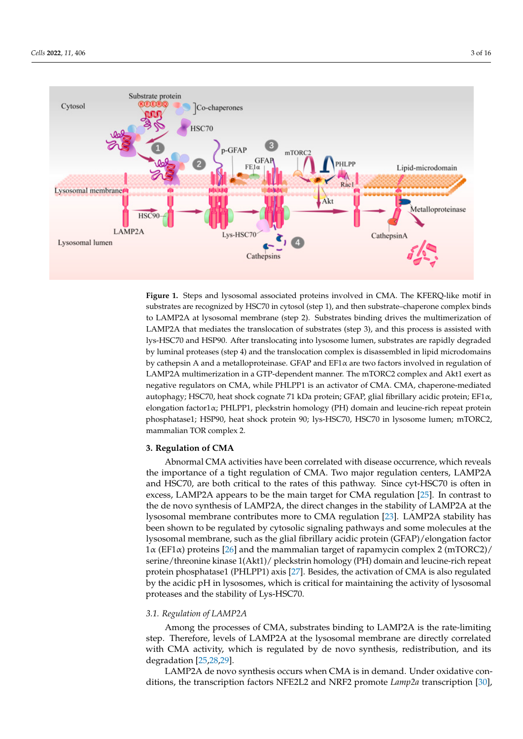<span id="page-2-0"></span>

Figure 1. Steps and lysosomal associated proteins involved in CMA. The KFERQ-like motif in strates are recognized by HSC70 in cytosological processes are recognized by  $\frac{1}{\sqrt{2}}$ , and the  $\frac{1}{\sqrt{2}}$  in complex binds to  $\frac{1}{\sqrt{2}}$ substrates are recognized by HSC70 in cytosol (step 1), and then substrate–chaperone complex binds  $\sim$ to LAMP2A at lysosomal membrane (step 2). Substrates binding drives the multimerization of LAMP2A that mediates the translocation of substrates (step 3), and this process is assisted with lys-HSC70 and HSP90. After translocating into lysosome lumen, substrates are rapidly degraded by luminal proteases (step 4) and the translocation complex is disassembled in lipid microdomains by cathepsin A and a metalloproteinase. GFAP and  $EFA\alpha$  are two factors involved in regulation of LAMP2A multimerization in a GTP-dependent manner. The mTORC2 complex and Akt1 exert as negative regulators on CMA, while PHLPP1 is an activator of CMA. CMA, chaperone-mediated autophagy; HSC70, heat shock cognate 71 kDa protein; GFAP, glial fibrillary acidic protein; EF1α, elongation factor1α; PHLPP1, pleckstrin homology (PH) domain and leucine-rich repeat protein phosphatase1; HSP90, heat shock protein 90; lys-HSC70, HSC70 in lysosome lumen; mTORC2, mammalian TOR complex 2.

## **3. Regulation of CMA**

Abnormal CMA activities have been correlated with disease occurrence, which reveals the importance of a tight regulation of CMA. Two major regulation centers, LAMP2A and HSC70, are both critical to the rates of this pathway. Since cyt-HSC70 is often in excess, LAMP2A appears to be the main target for CMA regulation [\[25\]](#page-12-9). In contrast to the de novo synthesis of LAMP2A, the direct changes in the stability of LAMP2A at the lysosomal membrane contributes more to CMA regulation [\[23\]](#page-12-7). LAMP2A stability has been shown to be regulated by cytosolic signaling pathways and some molecules at the lysosomal membrane, such as the glial fibrillary acidic protein (GFAP)/elongation factor 1α (EF1α) proteins [\[26\]](#page-12-10) and the mammalian target of rapamycin complex 2 (mTORC2)/ serine/threonine kinase 1(Akt1)/ pleckstrin homology (PH) domain and leucine-rich repeat protein phosphatase1 (PHLPP1) axis [\[27\]](#page-12-11). Besides, the activation of CMA is also regulated by the acidic pH in lysosomes, which is critical for maintaining the activity of lysosomal proteases and the stability of Lys-HSC70.

## *3.1. Regulation of LAMP2A*

Among the processes of CMA, substrates binding to LAMP2A is the rate-limiting step. Therefore, levels of LAMP2A at the lysosomal membrane are directly correlated with CMA activity, which is regulated by de novo synthesis, redistribution, and its degradation [\[25](#page-12-9)[,28](#page-12-12)[,29\]](#page-12-13).

LAMP2A de novo synthesis occurs when CMA is in demand. Under oxidative conditions, the transcription factors NFE2L2 and NRF2 promote *Lamp2a* transcription [\[30\]](#page-12-14),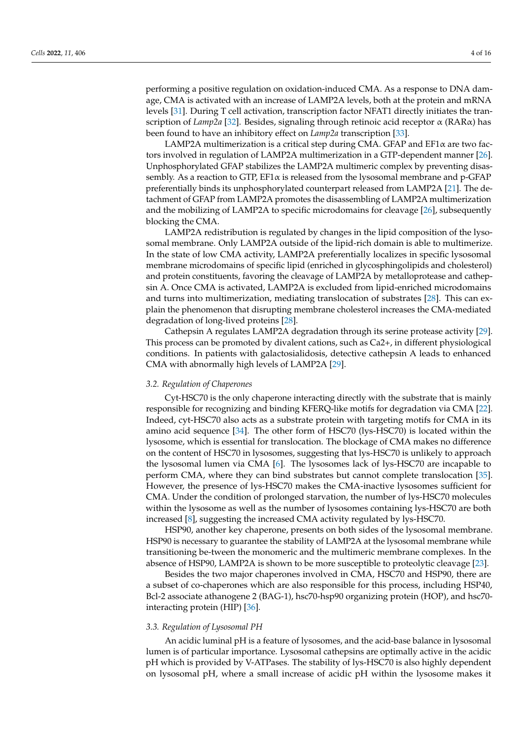performing a positive regulation on oxidation-induced CMA. As a response to DNA damage, CMA is activated with an increase of LAMP2A levels, both at the protein and mRNA levels [\[31\]](#page-12-15). During T cell activation, transcription factor NFAT1 directly initiates the transcription of *Lamp2a* [\[32\]](#page-12-16). Besides, signaling through retinoic acid receptor α (RARα) has been found to have an inhibitory effect on *Lamp2a* transcription [\[33\]](#page-12-17).

LAMP2A multimerization is a critical step during CMA. GFAP and  $EFA\alpha$  are two factors involved in regulation of LAMP2A multimerization in a GTP-dependent manner [\[26\]](#page-12-10). Unphosphorylated GFAP stabilizes the LAMP2A multimeric complex by preventing disassembly. As a reaction to GTP,  $EFA \times B$  is released from the lysosomal membrane and p-GFAP preferentially binds its unphosphorylated counterpart released from LAMP2A [\[21\]](#page-12-5). The detachment of GFAP from LAMP2A promotes the disassembling of LAMP2A multimerization and the mobilizing of LAMP2A to specific microdomains for cleavage [\[26\]](#page-12-10), subsequently blocking the CMA.

LAMP2A redistribution is regulated by changes in the lipid composition of the lysosomal membrane. Only LAMP2A outside of the lipid-rich domain is able to multimerize. In the state of low CMA activity, LAMP2A preferentially localizes in specific lysosomal membrane microdomains of specific lipid (enriched in glycosphingolipids and cholesterol) and protein constituents, favoring the cleavage of LAMP2A by metalloprotease and cathepsin A. Once CMA is activated, LAMP2A is excluded from lipid-enriched microdomains and turns into multimerization, mediating translocation of substrates [\[28\]](#page-12-12). This can explain the phenomenon that disrupting membrane cholesterol increases the CMA-mediated degradation of long-lived proteins [\[28\]](#page-12-12).

Cathepsin A regulates LAMP2A degradation through its serine protease activity [\[29\]](#page-12-13). This process can be promoted by divalent cations, such as Ca2+, in different physiological conditions. In patients with galactosialidosis, detective cathepsin A leads to enhanced CMA with abnormally high levels of LAMP2A [\[29\]](#page-12-13).

#### *3.2. Regulation of Chaperones*

Cyt-HSC70 is the only chaperone interacting directly with the substrate that is mainly responsible for recognizing and binding KFERQ-like motifs for degradation via CMA [\[22\]](#page-12-6). Indeed, cyt-HSC70 also acts as a substrate protein with targeting motifs for CMA in its amino acid sequence [\[34\]](#page-12-18). The other form of HSC70 (lys-HSC70) is located within the lysosome, which is essential for translocation. The blockage of CMA makes no difference on the content of HSC70 in lysosomes, suggesting that lys-HSC70 is unlikely to approach the lysosomal lumen via CMA [\[6\]](#page-11-5). The lysosomes lack of lys-HSC70 are incapable to perform CMA, where they can bind substrates but cannot complete translocation [\[35\]](#page-12-19). However, the presence of lys-HSC70 makes the CMA-inactive lysosomes sufficient for CMA. Under the condition of prolonged starvation, the number of lys-HSC70 molecules within the lysosome as well as the number of lysosomes containing lys-HSC70 are both increased [\[8\]](#page-11-7), suggesting the increased CMA activity regulated by lys-HSC70.

HSP90, another key chaperone, presents on both sides of the lysosomal membrane. HSP90 is necessary to guarantee the stability of LAMP2A at the lysosomal membrane while transitioning be-tween the monomeric and the multimeric membrane complexes. In the absence of HSP90, LAMP2A is shown to be more susceptible to proteolytic cleavage [\[23\]](#page-12-7).

Besides the two major chaperones involved in CMA, HSC70 and HSP90, there are a subset of co-chaperones which are also responsible for this process, including HSP40, Bcl-2 associate athanogene 2 (BAG-1), hsc70-hsp90 organizing protein (HOP), and hsc70 interacting protein (HIP) [\[36\]](#page-12-20).

#### *3.3. Regulation of Lysosomal PH*

An acidic luminal pH is a feature of lysosomes, and the acid-base balance in lysosomal lumen is of particular importance. Lysosomal cathepsins are optimally active in the acidic pH which is provided by V-ATPases. The stability of lys-HSC70 is also highly dependent on lysosomal pH, where a small increase of acidic pH within the lysosome makes it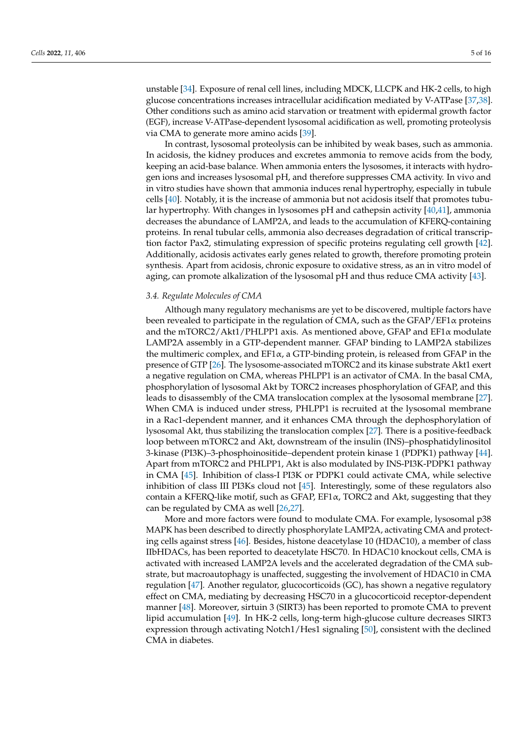unstable [\[34\]](#page-12-18). Exposure of renal cell lines, including MDCK, LLCPK and HK-2 cells, to high glucose concentrations increases intracellular acidification mediated by V-ATPase [\[37,](#page-12-21)[38\]](#page-12-22). Other conditions such as amino acid starvation or treatment with epidermal growth factor (EGF), increase V-ATPase-dependent lysosomal acidification as well, promoting proteolysis via CMA to generate more amino acids [\[39\]](#page-12-23).

In contrast, lysosomal proteolysis can be inhibited by weak bases, such as ammonia. In acidosis, the kidney produces and excretes ammonia to remove acids from the body, keeping an acid-base balance. When ammonia enters the lysosomes, it interacts with hydrogen ions and increases lysosomal pH, and therefore suppresses CMA activity. In vivo and in vitro studies have shown that ammonia induces renal hypertrophy, especially in tubule cells [\[40\]](#page-12-24). Notably, it is the increase of ammonia but not acidosis itself that promotes tubular hypertrophy. With changes in lysosomes pH and cathepsin activity [\[40,](#page-12-24)[41\]](#page-12-25), ammonia decreases the abundance of LAMP2A, and leads to the accumulation of KFERQ-containing proteins. In renal tubular cells, ammonia also decreases degradation of critical transcription factor Pax2, stimulating expression of specific proteins regulating cell growth [\[42\]](#page-13-0). Additionally, acidosis activates early genes related to growth, therefore promoting protein synthesis. Apart from acidosis, chronic exposure to oxidative stress, as an in vitro model of aging, can promote alkalization of the lysosomal pH and thus reduce CMA activity [\[43\]](#page-13-1).

## *3.4. Regulate Molecules of CMA*

Although many regulatory mechanisms are yet to be discovered, multiple factors have been revealed to participate in the regulation of CMA, such as the GFAP/EF1 $\alpha$  proteins and the mTORC2/Akt1/PHLPP1 axis. As mentioned above, GFAP and  $EFA\alpha$  modulate LAMP2A assembly in a GTP-dependent manner. GFAP binding to LAMP2A stabilizes the multimeric complex, and  $EFA$ , a GTP-binding protein, is released from GFAP in the presence of GTP [\[26\]](#page-12-10). The lysosome-associated mTORC2 and its kinase substrate Akt1 exert a negative regulation on CMA, whereas PHLPP1 is an activator of CMA. In the basal CMA, phosphorylation of lysosomal Akt by TORC2 increases phosphorylation of GFAP, and this leads to disassembly of the CMA translocation complex at the lysosomal membrane [\[27\]](#page-12-11). When CMA is induced under stress, PHLPP1 is recruited at the lysosomal membrane in a Rac1-dependent manner, and it enhances CMA through the dephosphorylation of lysosomal Akt, thus stabilizing the translocation complex [\[27\]](#page-12-11). There is a positive-feedback loop between mTORC2 and Akt, downstream of the insulin (INS)–phosphatidylinositol 3-kinase (PI3K)–3-phosphoinositide–dependent protein kinase 1 (PDPK1) pathway [\[44\]](#page-13-2). Apart from mTORC2 and PHLPP1, Akt is also modulated by INS-PI3K-PDPK1 pathway in CMA [\[45\]](#page-13-3). Inhibition of class-I PI3K or PDPK1 could activate CMA, while selective inhibition of class III PI3Ks cloud not [\[45\]](#page-13-3). Interestingly, some of these regulators also contain a KFERQ-like motif, such as GFAP,  $EFI\alpha$ , TORC2 and Akt, suggesting that they can be regulated by CMA as well [\[26,](#page-12-10)[27\]](#page-12-11).

More and more factors were found to modulate CMA. For example, lysosomal p38 MAPK has been described to directly phosphorylate LAMP2A, activating CMA and protecting cells against stress [\[46\]](#page-13-4). Besides, histone deacetylase 10 (HDAC10), a member of class IIbHDACs, has been reported to deacetylate HSC70. In HDAC10 knockout cells, CMA is activated with increased LAMP2A levels and the accelerated degradation of the CMA substrate, but macroautophagy is unaffected, suggesting the involvement of HDAC10 in CMA regulation [\[47\]](#page-13-5). Another regulator, glucocorticoids (GC), has shown a negative regulatory effect on CMA, mediating by decreasing HSC70 in a glucocorticoid receptor-dependent manner [\[48\]](#page-13-6). Moreover, sirtuin 3 (SIRT3) has been reported to promote CMA to prevent lipid accumulation [\[49\]](#page-13-7). In HK-2 cells, long-term high-glucose culture decreases SIRT3 expression through activating Notch1/Hes1 signaling [\[50\]](#page-13-8), consistent with the declined CMA in diabetes.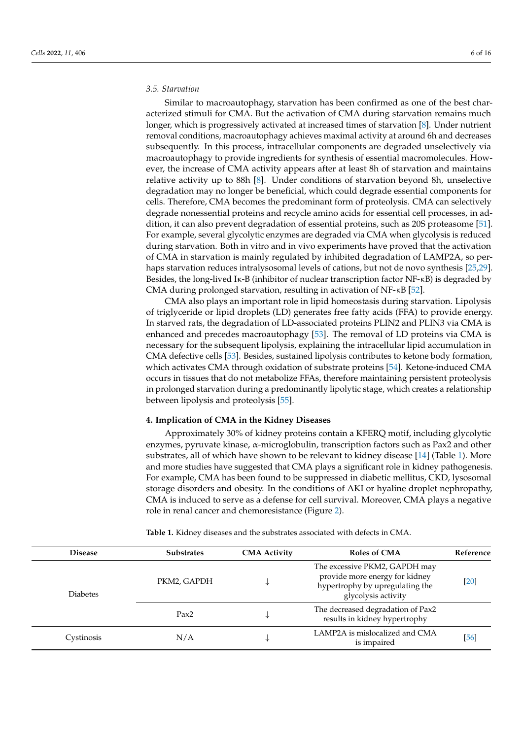## *3.5. Starvation*

Similar to macroautophagy, starvation has been confirmed as one of the best characterized stimuli for CMA. But the activation of CMA during starvation remains much longer, which is progressively activated at increased times of starvation [\[8\]](#page-11-7). Under nutrient removal conditions, macroautophagy achieves maximal activity at around 6h and decreases subsequently. In this process, intracellular components are degraded unselectively via macroautophagy to provide ingredients for synthesis of essential macromolecules. However, the increase of CMA activity appears after at least 8h of starvation and maintains relative activity up to 88h [\[8\]](#page-11-7). Under conditions of starvation beyond 8h, unselective degradation may no longer be beneficial, which could degrade essential components for cells. Therefore, CMA becomes the predominant form of proteolysis. CMA can selectively degrade nonessential proteins and recycle amino acids for essential cell processes, in addition, it can also prevent degradation of essential proteins, such as 20S proteasome [\[51\]](#page-13-9). For example, several glycolytic enzymes are degraded via CMA when glycolysis is reduced during starvation. Both in vitro and in vivo experiments have proved that the activation of CMA in starvation is mainly regulated by inhibited degradation of LAMP2A, so perhaps starvation reduces intralysosomal levels of cations, but not de novo synthesis [\[25](#page-12-9)[,29\]](#page-12-13). Besides, the long-lived Iκ-B (inhibitor of nuclear transcription factor NF-κB) is degraded by CMA during prolonged starvation, resulting in activation of NF-κB [\[52\]](#page-13-10).

CMA also plays an important role in lipid homeostasis during starvation. Lipolysis of triglyceride or lipid droplets (LD) generates free fatty acids (FFA) to provide energy. In starved rats, the degradation of LD-associated proteins PLIN2 and PLIN3 via CMA is enhanced and precedes macroautophagy [\[53\]](#page-13-11). The removal of LD proteins via CMA is necessary for the subsequent lipolysis, explaining the intracellular lipid accumulation in CMA defective cells [\[53\]](#page-13-11). Besides, sustained lipolysis contributes to ketone body formation, which activates CMA through oxidation of substrate proteins [\[54\]](#page-13-12). Ketone-induced CMA occurs in tissues that do not metabolize FFAs, therefore maintaining persistent proteolysis in prolonged starvation during a predominantly lipolytic stage, which creates a relationship between lipolysis and proteolysis [\[55\]](#page-13-13).

#### **4. Implication of CMA in the Kidney Diseases**

Approximately 30% of kidney proteins contain a KFERQ motif, including glycolytic enzymes, pyruvate kinase, α-microglobulin, transcription factors such as Pax2 and other substrates, all of which have shown to be relevant to kidney disease [\[14\]](#page-12-0) (Table [1\)](#page-5-0). More and more studies have suggested that CMA plays a significant role in kidney pathogenesis. For example, CMA has been found to be suppressed in diabetic mellitus, CKD, lysosomal storage disorders and obesity. In the conditions of AKI or hyaline droplet nephropathy, CMA is induced to serve as a defense for cell survival. Moreover, CMA plays a negative role in renal cancer and chemoresistance (Figure [2\)](#page-7-0).

<span id="page-5-0"></span>

| Table 1. Kidney diseases and the substrates associated with defects in CMA. |  |  |  |
|-----------------------------------------------------------------------------|--|--|--|
|                                                                             |  |  |  |

| <b>Disease</b>  | <b>Substrates</b> | <b>CMA Activity</b>                                                                                                            | <b>Roles of CMA</b>                                                | Reference |
|-----------------|-------------------|--------------------------------------------------------------------------------------------------------------------------------|--------------------------------------------------------------------|-----------|
| <b>Diabetes</b> | PKM2, GAPDH       | The excessive PKM2, GAPDH may<br>provide more energy for kidney<br>∿<br>hypertrophy by upregulating the<br>glycolysis activity |                                                                    | [20]      |
|                 | Pax2              | ∿                                                                                                                              | The decreased degradation of Pax2<br>results in kidney hypertrophy |           |
| Cystinosis      | N/A               | ∿                                                                                                                              | LAMP2A is mislocalized and CMA<br>is impaired                      | [56]      |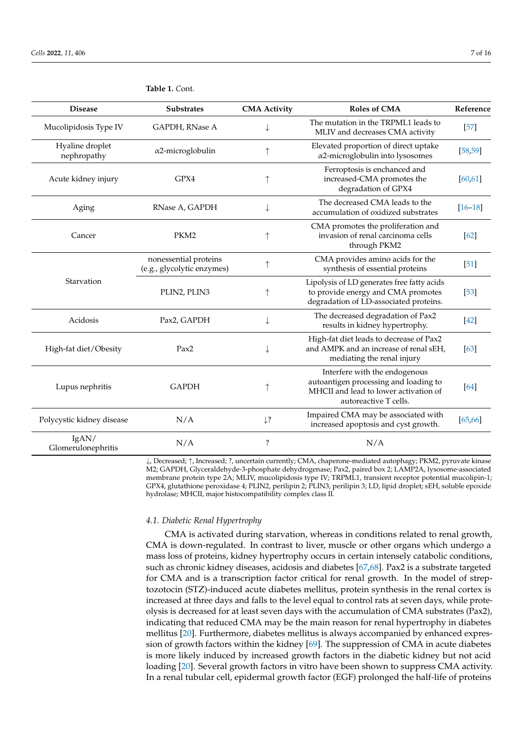| <b>Disease</b>                 | <b>Substrates</b>                                   | <b>CMA Activity</b> | <b>Roles of CMA</b>                                                                                                                      | Reference   |
|--------------------------------|-----------------------------------------------------|---------------------|------------------------------------------------------------------------------------------------------------------------------------------|-------------|
| Mucolipidosis Type IV          | GAPDH, RNase A                                      | ↓                   | The mutation in the TRPML1 leads to<br>MLIV and decreases CMA activity                                                                   | $[57]$      |
| Hyaline droplet<br>nephropathy | $\alpha$ 2-microglobulin                            | $\uparrow$          | Elevated proportion of direct uptake<br>$\alpha$ 2-microglobulin into lysosomes                                                          | [58, 59]    |
| Acute kidney injury            | GPX4                                                | $\uparrow$          | Ferroptosis is enchanced and<br>increased-CMA promotes the<br>degradation of GPX4                                                        | [60, 61]    |
| Aging                          | RNase A, GAPDH                                      | ↓                   | The decreased CMA leads to the<br>accumulation of oxidized substrates                                                                    | $[16 - 18]$ |
| Cancer                         | PKM <sub>2</sub>                                    | ↑                   | CMA promotes the proliferation and<br>invasion of renal carcinoma cells<br>through PKM2                                                  | $[62]$      |
| Starvation                     | nonessential proteins<br>(e.g., glycolytic enzymes) | $\uparrow$          | CMA provides amino acids for the<br>synthesis of essential proteins                                                                      | $[51]$      |
|                                | PLIN2, PLIN3                                        |                     | Lipolysis of LD generates free fatty acids<br>to provide energy and CMA promotes<br>degradation of LD-associated proteins.               | $[53]$      |
| Acidosis                       | Pax2, GAPDH                                         | ↓                   | The decreased degradation of Pax2<br>results in kidney hypertrophy.                                                                      | $[42]$      |
| High-fat diet/Obesity          | Pax2                                                | ↓                   | High-fat diet leads to decrease of Pax2<br>and AMPK and an increase of renal sEH,<br>mediating the renal injury                          | $[63]$      |
| Lupus nephritis                | <b>GAPDH</b>                                        |                     | Interfere with the endogenous<br>autoantigen processing and loading to<br>MHCII and lead to lower activation of<br>autoreactive T cells. | [64]        |
| Polycystic kidney disease      | N/A                                                 | $\downarrow$ ?      | Impaired CMA may be associated with<br>increased apoptosis and cyst growth.                                                              | [65, 66]    |
| IgAN/<br>Glomerulonephritis    | N/A                                                 | $\overline{\cdot}$  | N/A                                                                                                                                      |             |

**Table 1.** *C*ont.

↓, Decreased; ↑, Increased; ?, uncertain currently; CMA, chaperone-mediated autophagy; PKM2, pyruvate kinase M2; GAPDH, Glyceraldehyde-3-phosphate dehydrogenase; Pax2, paired box 2; LAMP2A, lysosome-associated membrane protein type 2A; MLIV, mucolipidosis type IV; TRPML1, transient receptor potential mucolipin-1; GPX4, glutathione peroxidase 4; PLIN2, perilipin 2; PLIN3, perilipin 3; LD, lipid droplet; sEH, soluble epoxide hydrolase; MHCII, major histocompatibility complex class II.

#### *4.1. Diabetic Renal Hypertrophy*

CMA is activated during starvation, whereas in conditions related to renal growth, CMA is down-regulated. In contrast to liver, muscle or other organs which undergo a mass loss of proteins, kidney hypertrophy occurs in certain intensely catabolic conditions, such as chronic kidney diseases, acidosis and diabetes [\[67,](#page-13-25)[68\]](#page-13-26). Pax2 is a substrate targeted for CMA and is a transcription factor critical for renal growth. In the model of streptozotocin (STZ)-induced acute diabetes mellitus, protein synthesis in the renal cortex is increased at three days and falls to the level equal to control rats at seven days, while proteolysis is decreased for at least seven days with the accumulation of CMA substrates (Pax2), indicating that reduced CMA may be the main reason for renal hypertrophy in diabetes mellitus [\[20\]](#page-12-4). Furthermore, diabetes mellitus is always accompanied by enhanced expression of growth factors within the kidney [\[69\]](#page-13-27). The suppression of CMA in acute diabetes is more likely induced by increased growth factors in the diabetic kidney but not acid loading [\[20\]](#page-12-4). Several growth factors in vitro have been shown to suppress CMA activity. In a renal tubular cell, epidermal growth factor (EGF) prolonged the half-life of proteins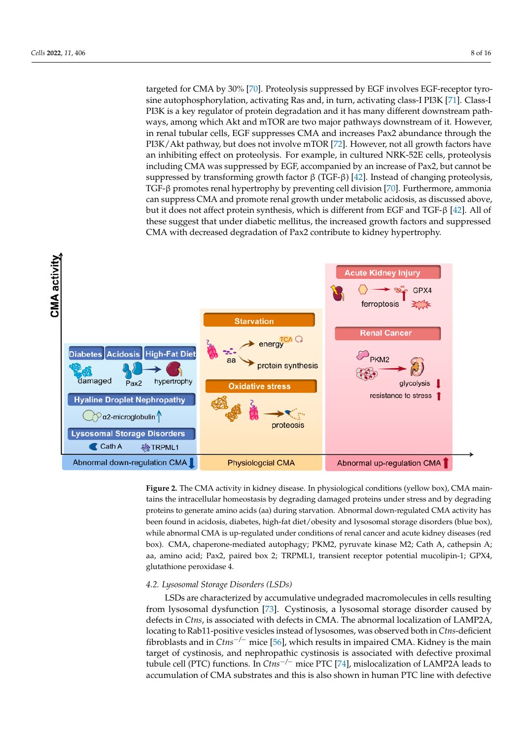targeted for CMA by 30% [\[70\]](#page-14-0). Proteolysis suppressed by EGF involves EGF-receptor tyro-sine autophosphorylation, activating Ras and, in turn, activating class-I PI3K [\[71\]](#page-14-1). Class-I PI3K is a key regulator of protein degradation and it has many different downstream pathr is a key regulator of protein degradation and it has many different downstream path-<br>ways, among which Akt and mTOR are two major pathways downstream of it. However, in renal tubular cells, EGF suppresses CMA and increases Pax2 abundance through the PI3K/Akt pathway, but does not involve mTOR [\[72\]](#page-14-2). However, not all growth factors have<br>subsidiation of fact an exploration. For we wake in subtrate MBK 52E calle numberlands an inhibiting effect on proteolysis. For example, in cultured NRK-52E cells, proteolysis including CMA was suppressed by EGF, accompanied by an increase of Pax2, but cannot be suppressed by transforming growth factor  $\beta$  (TGF-β) [\[42\]](#page-13-0). Instead of changing proteolysis, TGF-β promotes renal hypertrophy by preventing cell division [\[70\]](#page-14-0). Furthermore, ammonia can suppress CMA and promote renal growth under metabolic acidosis, as discussed above, but it does not affect protein synthesis, which is different from EGF and TGF- $\beta$  [42]. All of these suggest that under diabetic mellitus, the increased growth factors and suppressed mese suggest mat under diabelic memtus, the increased growth factors and<br>CMA with decreased degradation of Pax2 contribute to kidney hypertrophy.

<span id="page-7-0"></span>

creates a relationship between lipolysis and proteolysis [55].

**Figure 2.** The CMA activity in kidney disease. In physiological conditions (yellow box), CMA main-**Figure 2.** The CMA activity in kidney disease. In physiological conditions (yellow box), CMA mainproteins to generate amino acids (aa) during starvation. Abnormal down-regulated CMA activity has tains the intracellular homeostasis by degrading damaged proteins under stress and by degrading been found in acidosis, diabetes, high-fat diet/obesity and lysosomal storage disorders (blue box), while abnormal CMA is up-regulated under conditions of renal cancer and acute kidney diseases (red box). CMA, chaperone-mediated autophagy; PKM2, pyruvate kinase M2; Cath A, cathepsin A; aa, amino acid; Pax2, paired box 2; TRPML1, transient receptor potential mucolipin-1; GPX4, glutathione peroxidase 4.

#### *4.2. Lysosomal Storage Disorders (LSDs)*

LSDs are characterized by accumulative undegraded macromolecules in cells resulting from lysosomal dysfunction [\[73\]](#page-14-3). Cystinosis, a lysosomal storage disorder caused by defects in *Ctns*, is associated with defects in CMA. The abnormal localization of LAMP2A, locating to Rab11-positive vesicles instead of lysosomes, was observed both in *Ctns*-deficient fibroblasts and in *Ctns*−*/*<sup>−</sup> mice [\[56\]](#page-13-14), which results in impaired CMA. Kidney is the main target of cystinosis, and nephropathic cystinosis is associated with defective proximal tubule cell (PTC) functions. In *Ctns*−*/*<sup>−</sup> mice PTC [\[74\]](#page-14-4), mislocalization of LAMP2A leads to accumulation of CMA substrates and this is also shown in human PTC line with defective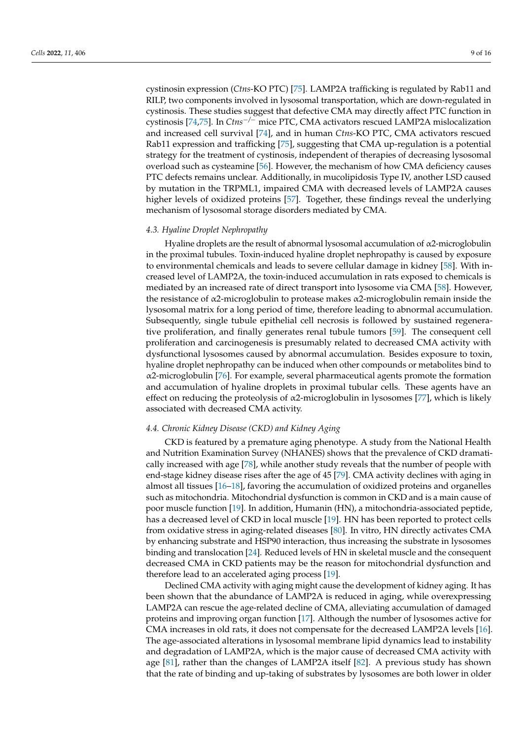cystinosin expression (*Ctns*-KO PTC) [\[75\]](#page-14-5). LAMP2A trafficking is regulated by Rab11 and RILP, two components involved in lysosomal transportation, which are down-regulated in cystinosis. These studies suggest that defective CMA may directly affect PTC function in cystinosis [\[74,](#page-14-4)[75\]](#page-14-5). In *Ctns*−*/*<sup>−</sup> mice PTC, CMA activators rescued LAMP2A mislocalization and increased cell survival [\[74\]](#page-14-4), and in human *Ctns*-KO PTC, CMA activators rescued Rab11 expression and trafficking [\[75\]](#page-14-5), suggesting that CMA up-regulation is a potential strategy for the treatment of cystinosis, independent of therapies of decreasing lysosomal overload such as cysteamine [\[56\]](#page-13-14). However, the mechanism of how CMA deficiency causes PTC defects remains unclear. Additionally, in mucolipidosis Type IV, another LSD caused by mutation in the TRPML1, impaired CMA with decreased levels of LAMP2A causes higher levels of oxidized proteins [\[57\]](#page-13-15). Together, these findings reveal the underlying mechanism of lysosomal storage disorders mediated by CMA.

#### *4.3. Hyaline Droplet Nephropathy*

Hyaline droplets are the result of abnormal lysosomal accumulation of  $\alpha$ 2-microglobulin in the proximal tubules. Toxin-induced hyaline droplet nephropathy is caused by exposure to environmental chemicals and leads to severe cellular damage in kidney [\[58\]](#page-13-16). With increased level of LAMP2A, the toxin-induced accumulation in rats exposed to chemicals is mediated by an increased rate of direct transport into lysosome via CMA [\[58\]](#page-13-16). However, the resistance of  $\alpha$ 2-microglobulin to protease makes  $\alpha$ 2-microglobulin remain inside the lysosomal matrix for a long period of time, therefore leading to abnormal accumulation. Subsequently, single tubule epithelial cell necrosis is followed by sustained regenerative proliferation, and finally generates renal tubule tumors [\[59\]](#page-13-17). The consequent cell proliferation and carcinogenesis is presumably related to decreased CMA activity with dysfunctional lysosomes caused by abnormal accumulation. Besides exposure to toxin, hyaline droplet nephropathy can be induced when other compounds or metabolites bind to  $\alpha$ 2-microglobulin [\[76\]](#page-14-6). For example, several pharmaceutical agents promote the formation and accumulation of hyaline droplets in proximal tubular cells. These agents have an effect on reducing the proteolysis of  $\alpha$ 2-microglobulin in lysosomes [\[77\]](#page-14-7), which is likely associated with decreased CMA activity.

#### *4.4. Chronic Kidney Disease (CKD) and Kidney Aging*

CKD is featured by a premature aging phenotype. A study from the National Health and Nutrition Examination Survey (NHANES) shows that the prevalence of CKD dramatically increased with age [\[78\]](#page-14-8), while another study reveals that the number of people with end-stage kidney disease rises after the age of 45 [\[79\]](#page-14-9). CMA activity declines with aging in almost all tissues [\[16](#page-12-2)[–18\]](#page-12-26), favoring the accumulation of oxidized proteins and organelles such as mitochondria. Mitochondrial dysfunction is common in CKD and is a main cause of poor muscle function [\[19\]](#page-12-3). In addition, Humanin (HN), a mitochondria-associated peptide, has a decreased level of CKD in local muscle [\[19\]](#page-12-3). HN has been reported to protect cells from oxidative stress in aging-related diseases [\[80\]](#page-14-10). In vitro, HN directly activates CMA by enhancing substrate and HSP90 interaction, thus increasing the substrate in lysosomes binding and translocation [\[24\]](#page-12-8). Reduced levels of HN in skeletal muscle and the consequent decreased CMA in CKD patients may be the reason for mitochondrial dysfunction and therefore lead to an accelerated aging process [\[19\]](#page-12-3).

Declined CMA activity with aging might cause the development of kidney aging. It has been shown that the abundance of LAMP2A is reduced in aging, while overexpressing LAMP2A can rescue the age-related decline of CMA, alleviating accumulation of damaged proteins and improving organ function [\[17\]](#page-12-27). Although the number of lysosomes active for CMA increases in old rats, it does not compensate for the decreased LAMP2A levels [\[16\]](#page-12-2). The age-associated alterations in lysosomal membrane lipid dynamics lead to instability and degradation of LAMP2A, which is the major cause of decreased CMA activity with age [\[81\]](#page-14-11), rather than the changes of LAMP2A itself [\[82\]](#page-14-12). A previous study has shown that the rate of binding and up-taking of substrates by lysosomes are both lower in older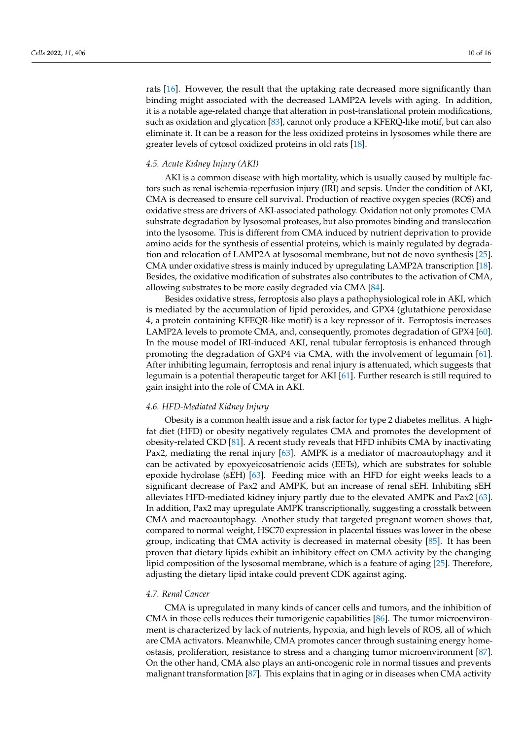rats [\[16\]](#page-12-2). However, the result that the uptaking rate decreased more significantly than binding might associated with the decreased LAMP2A levels with aging. In addition, it is a notable age-related change that alteration in post-translational protein modifications, such as oxidation and glycation [\[83\]](#page-14-13), cannot only produce a KFERQ-like motif, but can also eliminate it. It can be a reason for the less oxidized proteins in lysosomes while there are greater levels of cytosol oxidized proteins in old rats [\[18\]](#page-12-26).

#### *4.5. Acute Kidney Injury (AKI)*

AKI is a common disease with high mortality, which is usually caused by multiple factors such as renal ischemia-reperfusion injury (IRI) and sepsis. Under the condition of AKI, CMA is decreased to ensure cell survival. Production of reactive oxygen species (ROS) and oxidative stress are drivers of AKI-associated pathology. Oxidation not only promotes CMA substrate degradation by lysosomal proteases, but also promotes binding and translocation into the lysosome. This is different from CMA induced by nutrient deprivation to provide amino acids for the synthesis of essential proteins, which is mainly regulated by degradation and relocation of LAMP2A at lysosomal membrane, but not de novo synthesis [\[25\]](#page-12-9). CMA under oxidative stress is mainly induced by upregulating LAMP2A transcription [\[18\]](#page-12-26). Besides, the oxidative modification of substrates also contributes to the activation of CMA, allowing substrates to be more easily degraded via CMA [\[84\]](#page-14-14).

Besides oxidative stress, ferroptosis also plays a pathophysiological role in AKI, which is mediated by the accumulation of lipid peroxides, and GPX4 (glutathione peroxidase 4, a protein containing KFEQR-like motif) is a key repressor of it. Ferroptosis increases LAMP2A levels to promote CMA, and, consequently, promotes degradation of GPX4 [\[60\]](#page-13-18). In the mouse model of IRI-induced AKI, renal tubular ferroptosis is enhanced through promoting the degradation of GXP4 via CMA, with the involvement of legumain [\[61\]](#page-13-19). After inhibiting legumain, ferroptosis and renal injury is attenuated, which suggests that legumain is a potential therapeutic target for AKI [\[61\]](#page-13-19). Further research is still required to gain insight into the role of CMA in AKI.

## *4.6. HFD-Mediated Kidney Injury*

Obesity is a common health issue and a risk factor for type 2 diabetes mellitus. A highfat diet (HFD) or obesity negatively regulates CMA and promotes the development of obesity-related CKD [\[81\]](#page-14-11). A recent study reveals that HFD inhibits CMA by inactivating Pax2, mediating the renal injury [\[63\]](#page-13-21). AMPK is a mediator of macroautophagy and it can be activated by epoxyeicosatrienoic acids (EETs), which are substrates for soluble epoxide hydrolase (sEH) [\[63\]](#page-13-21). Feeding mice with an HFD for eight weeks leads to a significant decrease of Pax2 and AMPK, but an increase of renal sEH. Inhibiting sEH alleviates HFD-mediated kidney injury partly due to the elevated AMPK and Pax2 [\[63\]](#page-13-21). In addition, Pax2 may upregulate AMPK transcriptionally, suggesting a crosstalk between CMA and macroautophagy. Another study that targeted pregnant women shows that, compared to normal weight, HSC70 expression in placental tissues was lower in the obese group, indicating that CMA activity is decreased in maternal obesity [\[85\]](#page-14-15). It has been proven that dietary lipids exhibit an inhibitory effect on CMA activity by the changing lipid composition of the lysosomal membrane, which is a feature of aging [\[25\]](#page-12-9). Therefore, adjusting the dietary lipid intake could prevent CDK against aging.

## *4.7. Renal Cancer*

CMA is upregulated in many kinds of cancer cells and tumors, and the inhibition of CMA in those cells reduces their tumorigenic capabilities [\[86\]](#page-14-16). The tumor microenvironment is characterized by lack of nutrients, hypoxia, and high levels of ROS, all of which are CMA activators. Meanwhile, CMA promotes cancer through sustaining energy homeostasis, proliferation, resistance to stress and a changing tumor microenvironment [\[87\]](#page-14-17). On the other hand, CMA also plays an anti-oncogenic role in normal tissues and prevents malignant transformation [\[87\]](#page-14-17). This explains that in aging or in diseases when CMA activity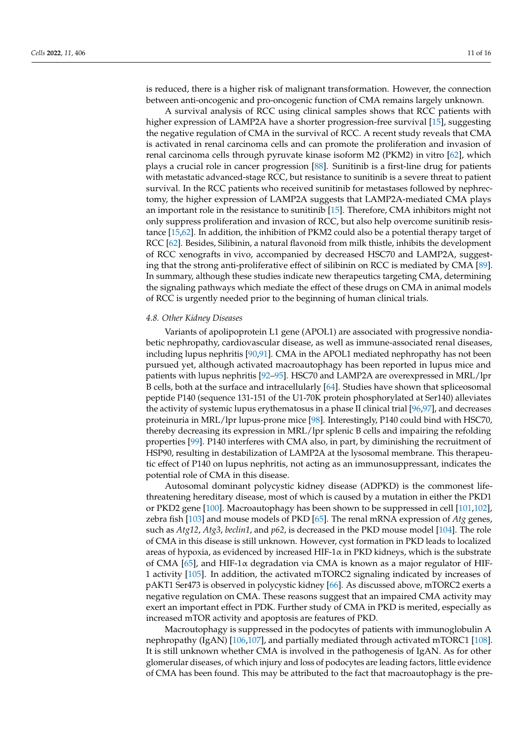is reduced, there is a higher risk of malignant transformation. However, the connection between anti-oncogenic and pro-oncogenic function of CMA remains largely unknown.

A survival analysis of RCC using clinical samples shows that RCC patients with higher expression of LAMP2A have a shorter progression-free survival [\[15\]](#page-12-1), suggesting the negative regulation of CMA in the survival of RCC. A recent study reveals that CMA is activated in renal carcinoma cells and can promote the proliferation and invasion of renal carcinoma cells through pyruvate kinase isoform M2 (PKM2) in vitro [\[62\]](#page-13-20), which plays a crucial role in cancer progression [\[88\]](#page-14-18). Sunitinib is a first-line drug for patients with metastatic advanced-stage RCC, but resistance to sunitinib is a severe threat to patient survival. In the RCC patients who received sunitinib for metastases followed by nephrectomy, the higher expression of LAMP2A suggests that LAMP2A-mediated CMA plays an important role in the resistance to sunitinib [\[15\]](#page-12-1). Therefore, CMA inhibitors might not only suppress proliferation and invasion of RCC, but also help overcome sunitinib resistance [\[15](#page-12-1)[,62\]](#page-13-20). In addition, the inhibition of PKM2 could also be a potential therapy target of RCC [\[62\]](#page-13-20). Besides, Silibinin, a natural flavonoid from milk thistle, inhibits the development of RCC xenografts in vivo, accompanied by decreased HSC70 and LAMP2A, suggesting that the strong anti-proliferative effect of silibinin on RCC is mediated by CMA [\[89\]](#page-14-19). In summary, although these studies indicate new therapeutics targeting CMA, determining the signaling pathways which mediate the effect of these drugs on CMA in animal models of RCC is urgently needed prior to the beginning of human clinical trials.

## *4.8. Other Kidney Diseases*

Variants of apolipoprotein L1 gene (APOL1) are associated with progressive nondiabetic nephropathy, cardiovascular disease, as well as immune-associated renal diseases, including lupus nephritis [\[90,](#page-14-20)[91\]](#page-14-21). CMA in the APOL1 mediated nephropathy has not been pursued yet, although activated macroautophagy has been reported in lupus mice and patients with lupus nephritis [\[92–](#page-14-22)[95\]](#page-14-23). HSC70 and LAMP2A are overexpressed in MRL/lpr B cells, both at the surface and intracellularly [\[64\]](#page-13-22). Studies have shown that spliceosomal peptide P140 (sequence 131-151 of the U1-70K protein phosphorylated at Ser140) alleviates the activity of systemic lupus erythematosus in a phase II clinical trial [\[96,](#page-15-0)[97\]](#page-15-1), and decreases proteinuria in MRL/lpr lupus-prone mice [\[98\]](#page-15-2). Interestingly, P140 could bind with HSC70, thereby decreasing its expression in MRL/lpr splenic B cells and impairing the refolding properties [\[99\]](#page-15-3). P140 interferes with CMA also, in part, by diminishing the recruitment of HSP90, resulting in destabilization of LAMP2A at the lysosomal membrane. This therapeutic effect of P140 on lupus nephritis, not acting as an immunosuppressant, indicates the potential role of CMA in this disease.

Autosomal dominant polycystic kidney disease (ADPKD) is the commonest lifethreatening hereditary disease, most of which is caused by a mutation in either the PKD1 or PKD2 gene [\[100\]](#page-15-4). Macroautophagy has been shown to be suppressed in cell [\[101,](#page-15-5)[102\]](#page-15-6), zebra fish [\[103\]](#page-15-7) and mouse models of PKD [\[65\]](#page-13-23). The renal mRNA expression of *Atg* genes, such as *Atg12*, *Atg3*, *beclin1*, and *p62*, is decreased in the PKD mouse model [\[104\]](#page-15-8). The role of CMA in this disease is still unknown. However, cyst formation in PKD leads to localized areas of hypoxia, as evidenced by increased HIF-1 $\alpha$  in PKD kidneys, which is the substrate of CMA [\[65\]](#page-13-23), and HIF-1 $\alpha$  degradation via CMA is known as a major regulator of HIF-1 activity [\[105\]](#page-15-9). In addition, the activated mTORC2 signaling indicated by increases of pAKT1 Ser473 is observed in polycystic kidney [\[66\]](#page-13-24). As discussed above, mTORC2 exerts a negative regulation on CMA. These reasons suggest that an impaired CMA activity may exert an important effect in PDK. Further study of CMA in PKD is merited, especially as increased mTOR activity and apoptosis are features of PKD.

Macroutophagy is suppressed in the podocytes of patients with immunoglobulin A nephropathy (IgAN) [\[106,](#page-15-10)[107\]](#page-15-11), and partially mediated through activated mTORC1 [\[108\]](#page-15-12). It is still unknown whether CMA is involved in the pathogenesis of IgAN. As for other glomerular diseases, of which injury and loss of podocytes are leading factors, little evidence of CMA has been found. This may be attributed to the fact that macroautophagy is the pre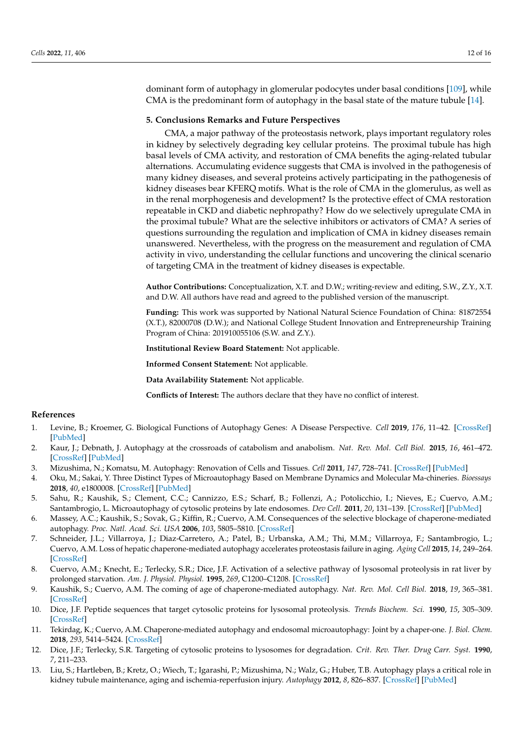dominant form of autophagy in glomerular podocytes under basal conditions [\[109\]](#page-15-13), while CMA is the predominant form of autophagy in the basal state of the mature tubule [\[14\]](#page-12-0).

#### **5. Conclusions Remarks and Future Perspectives**

CMA, a major pathway of the proteostasis network, plays important regulatory roles in kidney by selectively degrading key cellular proteins. The proximal tubule has high basal levels of CMA activity, and restoration of CMA benefits the aging-related tubular alternations. Accumulating evidence suggests that CMA is involved in the pathogenesis of many kidney diseases, and several proteins actively participating in the pathogenesis of kidney diseases bear KFERQ motifs. What is the role of CMA in the glomerulus, as well as in the renal morphogenesis and development? Is the protective effect of CMA restoration repeatable in CKD and diabetic nephropathy? How do we selectively upregulate CMA in the proximal tubule? What are the selective inhibitors or activators of CMA? A series of questions surrounding the regulation and implication of CMA in kidney diseases remain unanswered. Nevertheless, with the progress on the measurement and regulation of CMA activity in vivo, understanding the cellular functions and uncovering the clinical scenario of targeting CMA in the treatment of kidney diseases is expectable.

**Author Contributions:** Conceptualization, X.T. and D.W.; writing-review and editing, S.W., Z.Y., X.T. and D.W. All authors have read and agreed to the published version of the manuscript.

**Funding:** This work was supported by National Natural Science Foundation of China: 81872554 (X.T.), 82000708 (D.W.); and National College Student Innovation and Entrepreneurship Training Program of China: 201910055106 (S.W. and Z.Y.).

**Institutional Review Board Statement:** Not applicable.

**Informed Consent Statement:** Not applicable.

**Data Availability Statement:** Not applicable.

**Conflicts of Interest:** The authors declare that they have no conflict of interest.

#### **References**

- <span id="page-11-0"></span>1. Levine, B.; Kroemer, G. Biological Functions of Autophagy Genes: A Disease Perspective. *Cell* **2019**, *176*, 11–42. [\[CrossRef\]](http://doi.org/10.1016/j.cell.2018.09.048) [\[PubMed\]](http://www.ncbi.nlm.nih.gov/pubmed/30633901)
- <span id="page-11-1"></span>2. Kaur, J.; Debnath, J. Autophagy at the crossroads of catabolism and anabolism. *Nat. Rev. Mol. Cell Biol.* **2015**, *16*, 461–472. [\[CrossRef\]](http://doi.org/10.1038/nrm4024) [\[PubMed\]](http://www.ncbi.nlm.nih.gov/pubmed/26177004)
- <span id="page-11-2"></span>3. Mizushima, N.; Komatsu, M. Autophagy: Renovation of Cells and Tissues. *Cell* **2011**, *147*, 728–741. [\[CrossRef\]](http://doi.org/10.1016/j.cell.2011.10.026) [\[PubMed\]](http://www.ncbi.nlm.nih.gov/pubmed/22078875)
- <span id="page-11-3"></span>4. Oku, M.; Sakai, Y. Three Distinct Types of Microautophagy Based on Membrane Dynamics and Molecular Ma-chineries. *Bioessays* **2018**, *40*, e1800008. [\[CrossRef\]](http://doi.org/10.1002/bies.201800008) [\[PubMed\]](http://www.ncbi.nlm.nih.gov/pubmed/29708272)
- <span id="page-11-4"></span>5. Sahu, R.; Kaushik, S.; Clement, C.C.; Cannizzo, E.S.; Scharf, B.; Follenzi, A.; Potolicchio, I.; Nieves, E.; Cuervo, A.M.; Santambrogio, L. Microautophagy of cytosolic proteins by late endosomes. *Dev Cell.* **2011**, *20*, 131–139. [\[CrossRef\]](http://doi.org/10.1016/j.devcel.2010.12.003) [\[PubMed\]](http://www.ncbi.nlm.nih.gov/pubmed/21238931)
- <span id="page-11-5"></span>6. Massey, A.C.; Kaushik, S.; Sovak, G.; Kiffin, R.; Cuervo, A.M. Consequences of the selective blockage of chaperone-mediated autophagy. *Proc. Natl. Acad. Sci. USA* **2006**, *103*, 5805–5810. [\[CrossRef\]](http://doi.org/10.1073/pnas.0507436103)
- <span id="page-11-6"></span>7. Schneider, J.L.; Villarroya, J.; Diaz-Carretero, A.; Patel, B.; Urbanska, A.M.; Thi, M.M.; Villarroya, F.; Santambrogio, L.; Cuervo, A.M. Loss of hepatic chaperone-mediated autophagy accelerates proteostasis failure in aging. *Aging Cell* **2015**, *14*, 249–264. [\[CrossRef\]](http://doi.org/10.1111/acel.12310)
- <span id="page-11-7"></span>8. Cuervo, A.M.; Knecht, E.; Terlecky, S.R.; Dice, J.F. Activation of a selective pathway of lysosomal proteolysis in rat liver by prolonged starvation. *Am. J. Physiol. Physiol.* **1995**, *269*, C1200–C1208. [\[CrossRef\]](http://doi.org/10.1152/ajpcell.1995.269.5.C1200)
- <span id="page-11-8"></span>9. Kaushik, S.; Cuervo, A.M. The coming of age of chaperone-mediated autophagy. *Nat. Rev. Mol. Cell Biol.* **2018**, *19*, 365–381. [\[CrossRef\]](http://doi.org/10.1038/s41580-018-0001-6)
- <span id="page-11-9"></span>10. Dice, J.F. Peptide sequences that target cytosolic proteins for lysosomal proteolysis. *Trends Biochem. Sci.* **1990**, *15*, 305–309. [\[CrossRef\]](http://doi.org/10.1016/0968-0004(90)90019-8)
- <span id="page-11-10"></span>11. Tekirdag, K.; Cuervo, A.M. Chaperone-mediated autophagy and endosomal microautophagy: Joint by a chaper-one. *J. Biol. Chem.* **2018**, *293*, 5414–5424. [\[CrossRef\]](http://doi.org/10.1074/jbc.R117.818237)
- <span id="page-11-11"></span>12. Dice, J.F.; Terlecky, S.R. Targeting of cytosolic proteins to lysosomes for degradation. *Crit. Rev. Ther. Drug Carr. Syst.* **1990**, *7*, 211–233.
- <span id="page-11-12"></span>13. Liu, S.; Hartleben, B.; Kretz, O.; Wiech, T.; Igarashi, P.; Mizushima, N.; Walz, G.; Huber, T.B. Autophagy plays a critical role in kidney tubule maintenance, aging and ischemia-reperfusion injury. *Autophagy* **2012**, *8*, 826–837. [\[CrossRef\]](http://doi.org/10.4161/auto.19419) [\[PubMed\]](http://www.ncbi.nlm.nih.gov/pubmed/22617445)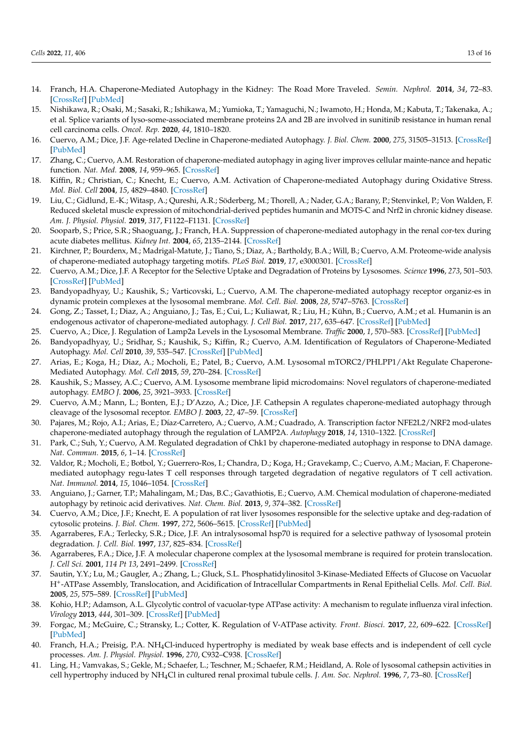- <span id="page-12-0"></span>14. Franch, H.A. Chaperone-Mediated Autophagy in the Kidney: The Road More Traveled. *Semin. Nephrol.* **2014**, *34*, 72–83. [\[CrossRef\]](http://doi.org/10.1016/j.semnephrol.2013.11.010) [\[PubMed\]](http://www.ncbi.nlm.nih.gov/pubmed/24485032)
- <span id="page-12-1"></span>15. Nishikawa, R.; Osaki, M.; Sasaki, R.; Ishikawa, M.; Yumioka, T.; Yamaguchi, N.; Iwamoto, H.; Honda, M.; Kabuta, T.; Takenaka, A.; et al. Splice variants of lyso-some-associated membrane proteins 2A and 2B are involved in sunitinib resistance in human renal cell carcinoma cells. *Oncol. Rep.* **2020**, *44*, 1810–1820.
- <span id="page-12-2"></span>16. Cuervo, A.M.; Dice, J.F. Age-related Decline in Chaperone-mediated Autophagy. *J. Biol. Chem.* **2000**, *275*, 31505–31513. [\[CrossRef\]](http://doi.org/10.1074/jbc.M002102200) [\[PubMed\]](http://www.ncbi.nlm.nih.gov/pubmed/10806201)
- <span id="page-12-27"></span>17. Zhang, C.; Cuervo, A.M. Restoration of chaperone-mediated autophagy in aging liver improves cellular mainte-nance and hepatic function. *Nat. Med.* **2008**, *14*, 959–965. [\[CrossRef\]](http://doi.org/10.1038/nm.1851)
- <span id="page-12-26"></span>18. Kiffin, R.; Christian, C.; Knecht, E.; Cuervo, A.M. Activation of Chaperone-mediated Autophagy during Oxidative Stress. *Mol. Biol. Cell* **2004**, *15*, 4829–4840. [\[CrossRef\]](http://doi.org/10.1091/mbc.e04-06-0477)
- <span id="page-12-3"></span>19. Liu, C.; Gidlund, E.-K.; Witasp, A.; Qureshi, A.R.; Söderberg, M.; Thorell, A.; Nader, G.A.; Barany, P.; Stenvinkel, P.; Von Walden, F. Reduced skeletal muscle expression of mitochondrial-derived peptides humanin and MOTS-C and Nrf2 in chronic kidney disease. *Am. J. Physiol. Physiol.* **2019**, *317*, F1122–F1131. [\[CrossRef\]](http://doi.org/10.1152/ajprenal.00202.2019)
- <span id="page-12-4"></span>20. Sooparb, S.; Price, S.R.; Shaoguang, J.; Franch, H.A. Suppression of chaperone-mediated autophagy in the renal cor-tex during acute diabetes mellitus. *Kidney Int.* **2004**, *65*, 2135–2144. [\[CrossRef\]](http://doi.org/10.1111/j.1523-1755.2004.00639.x)
- <span id="page-12-5"></span>21. Kirchner, P.; Bourdenx, M.; Madrigal-Matute, J.; Tiano, S.; Diaz, A.; Bartholdy, B.A.; Will, B.; Cuervo, A.M. Proteome-wide analysis of chaperone-mediated autophagy targeting motifs. *PLoS Biol.* **2019**, *17*, e3000301. [\[CrossRef\]](http://doi.org/10.1371/journal.pbio.3000301)
- <span id="page-12-6"></span>22. Cuervo, A.M.; Dice, J.F. A Receptor for the Selective Uptake and Degradation of Proteins by Lysosomes. *Science* **1996**, *273*, 501–503. [\[CrossRef\]](http://doi.org/10.1126/science.273.5274.501) [\[PubMed\]](http://www.ncbi.nlm.nih.gov/pubmed/8662539)
- <span id="page-12-7"></span>23. Bandyopadhyay, U.; Kaushik, S.; Varticovski, L.; Cuervo, A.M. The chaperone-mediated autophagy receptor organiz-es in dynamic protein complexes at the lysosomal membrane. *Mol. Cell. Biol.* **2008**, *28*, 5747–5763. [\[CrossRef\]](http://doi.org/10.1128/MCB.02070-07)
- <span id="page-12-8"></span>24. Gong, Z.; Tasset, I.; Diaz, A.; Anguiano, J.; Tas, E.; Cui, L.; Kuliawat, R.; Liu, H.; Kühn, B.; Cuervo, A.M.; et al. Humanin is an endogenous activator of chaperone-mediated autophagy. *J. Cell Biol.* **2017**, *217*, 635–647. [\[CrossRef\]](http://doi.org/10.1083/jcb.201606095) [\[PubMed\]](http://www.ncbi.nlm.nih.gov/pubmed/29187525)
- <span id="page-12-9"></span>25. Cuervo, A.; Dice, J. Regulation of Lamp2a Levels in the Lysosomal Membrane. *Traffic* **2000**, *1*, 570–583. [\[CrossRef\]](http://doi.org/10.1034/j.1600-0854.2000.010707.x) [\[PubMed\]](http://www.ncbi.nlm.nih.gov/pubmed/11208145)
- <span id="page-12-10"></span>26. Bandyopadhyay, U.; Sridhar, S.; Kaushik, S.; Kiffin, R.; Cuervo, A.M. Identification of Regulators of Chaperone-Mediated Autophagy. *Mol. Cell* **2010**, *39*, 535–547. [\[CrossRef\]](http://doi.org/10.1016/j.molcel.2010.08.004) [\[PubMed\]](http://www.ncbi.nlm.nih.gov/pubmed/20797626)
- <span id="page-12-11"></span>27. Arias, E.; Koga, H.; Diaz, A.; Mocholi, E.; Patel, B.; Cuervo, A.M. Lysosomal mTORC2/PHLPP1/Akt Regulate Chaperone-Mediated Autophagy. *Mol. Cell* **2015**, *59*, 270–284. [\[CrossRef\]](http://doi.org/10.1016/j.molcel.2015.05.030)
- <span id="page-12-12"></span>28. Kaushik, S.; Massey, A.C.; Cuervo, A.M. Lysosome membrane lipid microdomains: Novel regulators of chaperone-mediated autophagy. *EMBO J.* **2006**, *25*, 3921–3933. [\[CrossRef\]](http://doi.org/10.1038/sj.emboj.7601283)
- <span id="page-12-13"></span>29. Cuervo, A.M.; Mann, L.; Bonten, E.J.; D'Azzo, A.; Dice, J.F. Cathepsin A regulates chaperone-mediated autophagy through cleavage of the lysosomal receptor. *EMBO J.* **2003**, *22*, 47–59. [\[CrossRef\]](http://doi.org/10.1093/emboj/cdg002)
- <span id="page-12-14"></span>30. Pajares, M.; Rojo, A.I.; Arias, E.; Díaz-Carretero, A.; Cuervo, A.M.; Cuadrado, A. Transcription factor NFE2L2/NRF2 mod-ulates chaperone-mediated autophagy through the regulation of LAMP2A. *Autophagy* **2018**, *14*, 1310–1322. [\[CrossRef\]](http://doi.org/10.1080/15548627.2018.1474992)
- <span id="page-12-15"></span>31. Park, C.; Suh, Y.; Cuervo, A.M. Regulated degradation of Chk1 by chaperone-mediated autophagy in response to DNA damage. *Nat. Commun.* **2015**, *6*, 1–14. [\[CrossRef\]](http://doi.org/10.1038/ncomms7823)
- <span id="page-12-16"></span>32. Valdor, R.; Mocholi, E.; Botbol, Y.; Guerrero-Ros, I.; Chandra, D.; Koga, H.; Gravekamp, C.; Cuervo, A.M.; Macian, F. Chaperonemediated autophagy regu-lates T cell responses through targeted degradation of negative regulators of T cell activation. *Nat. Immunol.* **2014**, *15*, 1046–1054. [\[CrossRef\]](http://doi.org/10.1038/ni.3003)
- <span id="page-12-17"></span>33. Anguiano, J.; Garner, T.P.; Mahalingam, M.; Das, B.C.; Gavathiotis, E.; Cuervo, A.M. Chemical modulation of chaperone-mediated autophagy by retinoic acid derivatives. *Nat. Chem. Biol.* **2013**, *9*, 374–382. [\[CrossRef\]](http://doi.org/10.1038/nchembio.1230)
- <span id="page-12-18"></span>34. Cuervo, A.M.; Dice, J.F.; Knecht, E. A population of rat liver lysosomes responsible for the selective uptake and deg-radation of cytosolic proteins. *J. Biol. Chem.* **1997**, *272*, 5606–5615. [\[CrossRef\]](http://doi.org/10.1074/jbc.272.9.5606) [\[PubMed\]](http://www.ncbi.nlm.nih.gov/pubmed/9038169)
- <span id="page-12-19"></span>35. Agarraberes, F.A.; Terlecky, S.R.; Dice, J.F. An intralysosomal hsp70 is required for a selective pathway of lysosomal protein degradation. *J. Cell. Biol.* **1997**, *137*, 825–834. [\[CrossRef\]](http://doi.org/10.1083/jcb.137.4.825)
- <span id="page-12-20"></span>36. Agarraberes, F.A.; Dice, J.F. A molecular chaperone complex at the lysosomal membrane is required for protein translocation. *J. Cell Sci.* **2001**, *114 Pt 13*, 2491–2499. [\[CrossRef\]](http://doi.org/10.1242/jcs.114.13.2491)
- <span id="page-12-21"></span>37. Sautin, Y.Y.; Lu, M.; Gaugler, A.; Zhang, L.; Gluck, S.L. Phosphatidylinositol 3-Kinase-Mediated Effects of Glucose on Vacuolar H<sup>+</sup> -ATPase Assembly, Translocation, and Acidification of Intracellular Compartments in Renal Epithelial Cells. *Mol. Cell. Biol.* **2005**, *25*, 575–589. [\[CrossRef\]](http://doi.org/10.1128/MCB.25.2.575-589.2005) [\[PubMed\]](http://www.ncbi.nlm.nih.gov/pubmed/15632060)
- <span id="page-12-22"></span>38. Kohio, H.P.; Adamson, A.L. Glycolytic control of vacuolar-type ATPase activity: A mechanism to regulate influenza viral infection. *Virology* **2013**, *444*, 301–309. [\[CrossRef\]](http://doi.org/10.1016/j.virol.2013.06.026) [\[PubMed\]](http://www.ncbi.nlm.nih.gov/pubmed/23876457)
- <span id="page-12-23"></span>39. Forgac, M.; McGuire, C.; Stransky, L.; Cotter, K. Regulation of V-ATPase activity. *Front. Biosci.* **2017**, *22*, 609–622. [\[CrossRef\]](http://doi.org/10.2741/4506) [\[PubMed\]](http://www.ncbi.nlm.nih.gov/pubmed/27814636)
- <span id="page-12-24"></span>40. Franch, H.A.; Preisig, P.A. NH4Cl-induced hypertrophy is mediated by weak base effects and is independent of cell cycle processes. *Am. J. Physiol. Physiol.* **1996**, *270*, C932–C938. [\[CrossRef\]](http://doi.org/10.1152/ajpcell.1996.270.3.C932)
- <span id="page-12-25"></span>41. Ling, H.; Vamvakas, S.; Gekle, M.; Schaefer, L.; Teschner, M.; Schaefer, R.M.; Heidland, A. Role of lysosomal cathepsin activities in cell hypertrophy induced by NH4Cl in cultured renal proximal tubule cells. *J. Am. Soc. Nephrol.* **1996**, *7*, 73–80. [\[CrossRef\]](http://doi.org/10.1681/ASN.V7173)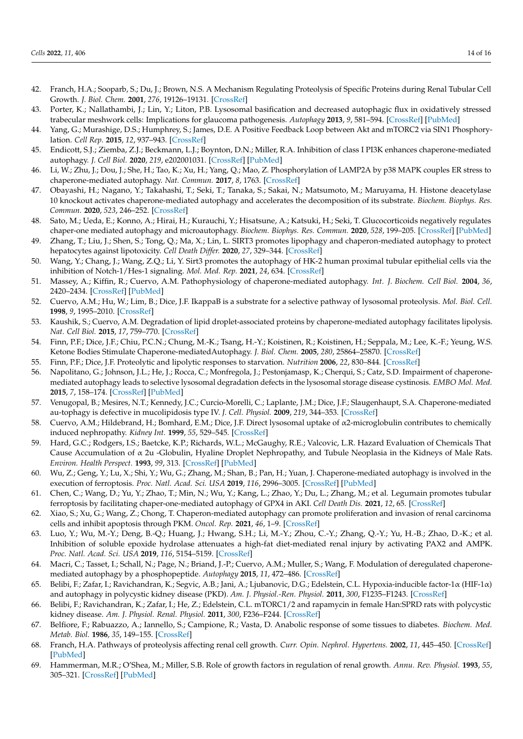- <span id="page-13-0"></span>42. Franch, H.A.; Sooparb, S.; Du, J.; Brown, N.S. A Mechanism Regulating Proteolysis of Specific Proteins during Renal Tubular Cell Growth. *J. Biol. Chem.* **2001**, *276*, 19126–19131. [\[CrossRef\]](http://doi.org/10.1074/jbc.M101777200)
- <span id="page-13-1"></span>43. Porter, K.; Nallathambi, J.; Lin, Y.; Liton, P.B. Lysosomal basification and decreased autophagic flux in oxidatively stressed trabecular meshwork cells: Implications for glaucoma pathogenesis. *Autophagy* **2013**, *9*, 581–594. [\[CrossRef\]](http://doi.org/10.4161/auto.23568) [\[PubMed\]](http://www.ncbi.nlm.nih.gov/pubmed/23360789)
- <span id="page-13-2"></span>44. Yang, G.; Murashige, D.S.; Humphrey, S.; James, D.E. A Positive Feedback Loop between Akt and mTORC2 via SIN1 Phosphorylation. *Cell Rep.* **2015**, *12*, 937–943. [\[CrossRef\]](http://doi.org/10.1016/j.celrep.2015.07.016)
- <span id="page-13-3"></span>45. Endicott, S.J.; Ziemba, Z.J.; Beckmann, L.J.; Boynton, D.N.; Miller, R.A. Inhibition of class I PI3K enhances chaperone-mediated autophagy. *J. Cell Biol.* **2020**, *219*, e202001031. [\[CrossRef\]](http://doi.org/10.1083/jcb.202001031) [\[PubMed\]](http://www.ncbi.nlm.nih.gov/pubmed/33048163)
- <span id="page-13-4"></span>46. Li, W.; Zhu, J.; Dou, J.; She, H.; Tao, K.; Xu, H.; Yang, Q.; Mao, Z. Phosphorylation of LAMP2A by p38 MAPK couples ER stress to chaperone-mediated autophagy. *Nat. Commun.* **2017**, *8*, 1763. [\[CrossRef\]](http://doi.org/10.1038/s41467-017-01609-x)
- <span id="page-13-5"></span>47. Obayashi, H.; Nagano, Y.; Takahashi, T.; Seki, T.; Tanaka, S.; Sakai, N.; Matsumoto, M.; Maruyama, H. Histone deacetylase 10 knockout activates chaperone-mediated autophagy and accelerates the decomposition of its substrate. *Biochem. Biophys. Res. Commun.* **2020**, *523*, 246–252. [\[CrossRef\]](http://doi.org/10.1016/j.bbrc.2019.12.048)
- <span id="page-13-6"></span>48. Sato, M.; Ueda, E.; Konno, A.; Hirai, H.; Kurauchi, Y.; Hisatsune, A.; Katsuki, H.; Seki, T. Glucocorticoids negatively regulates chaper-one mediated autophagy and microautophagy. *Biochem. Biophys. Res. Commun.* **2020**, *528*, 199–205. [\[CrossRef\]](http://doi.org/10.1016/j.bbrc.2020.04.132) [\[PubMed\]](http://www.ncbi.nlm.nih.gov/pubmed/32487317)
- <span id="page-13-7"></span>49. Zhang, T.; Liu, J.; Shen, S.; Tong, Q.; Ma, X.; Lin, L. SIRT3 promotes lipophagy and chaperon-mediated autophagy to protect hepatocytes against lipotoxicity. *Cell Death Differ.* **2020**, *27*, 329–344. [\[CrossRef\]](http://doi.org/10.1038/s41418-019-0356-z)
- <span id="page-13-8"></span>50. Wang, Y.; Chang, J.; Wang, Z.Q.; Li, Y. Sirt3 promotes the autophagy of HK-2 human proximal tubular epithelial cells via the inhibition of Notch-1/Hes-1 signaling. *Mol. Med. Rep.* **2021**, *24*, 634. [\[CrossRef\]](http://doi.org/10.3892/mmr.2021.12273)
- <span id="page-13-9"></span>51. Massey, A.; Kiffin, R.; Cuervo, A.M. Pathophysiology of chaperone-mediated autophagy. *Int. J. Biochem. Cell Biol.* **2004**, *36*, 2420–2434. [\[CrossRef\]](http://doi.org/10.1016/j.biocel.2004.04.010) [\[PubMed\]](http://www.ncbi.nlm.nih.gov/pubmed/15325582)
- <span id="page-13-10"></span>52. Cuervo, A.M.; Hu, W.; Lim, B.; Dice, J.F. IkappaB is a substrate for a selective pathway of lysosomal proteolysis. *Mol. Biol. Cell.* **1998**, *9*, 1995–2010. [\[CrossRef\]](http://doi.org/10.1091/mbc.9.8.1995)
- <span id="page-13-11"></span>53. Kaushik, S.; Cuervo, A.M. Degradation of lipid droplet-associated proteins by chaperone-mediated autophagy facilitates lipolysis. *Nat. Cell Biol.* **2015**, *17*, 759–770. [\[CrossRef\]](http://doi.org/10.1038/ncb3166)
- <span id="page-13-12"></span>54. Finn, P.F.; Dice, J.F.; Chiu, P.C.N.; Chung, M.-K.; Tsang, H.-Y.; Koistinen, R.; Koistinen, H.; Seppala, M.; Lee, K.-F.; Yeung, W.S. Ketone Bodies Stimulate Chaperone-mediatedAutophagy. *J. Biol. Chem.* **2005**, *280*, 25864–25870. [\[CrossRef\]](http://doi.org/10.1074/jbc.M502456200)
- <span id="page-13-13"></span>55. Finn, P.F.; Dice, J.F. Proteolytic and lipolytic responses to starvation. *Nutrition* **2006**, *22*, 830–844. [\[CrossRef\]](http://doi.org/10.1016/j.nut.2006.04.008)
- <span id="page-13-14"></span>56. Napolitano, G.; Johnson, J.L.; He, J.; Rocca, C.; Monfregola, J.; Pestonjamasp, K.; Cherqui, S.; Catz, S.D. Impairment of chaperonemediated autophagy leads to selective lysosomal degradation defects in the lysosomal storage disease cystinosis. *EMBO Mol. Med.* **2015**, *7*, 158–174. [\[CrossRef\]](http://doi.org/10.15252/emmm.201404223) [\[PubMed\]](http://www.ncbi.nlm.nih.gov/pubmed/25586965)
- <span id="page-13-15"></span>57. Venugopal, B.; Mesires, N.T.; Kennedy, J.C.; Curcio-Morelli, C.; Laplante, J.M.; Dice, J.F.; Slaugenhaupt, S.A. Chaperone-mediated au-tophagy is defective in mucolipidosis type IV. *J. Cell. Physiol.* **2009**, *219*, 344–353. [\[CrossRef\]](http://doi.org/10.1002/jcp.21676)
- <span id="page-13-16"></span>58. Cuervo, A.M.; Hildebrand, H.; Bomhard, E.M.; Dice, J.F. Direct lysosomal uptake of α2-microglobulin contributes to chemically induced nephropathy. *Kidney Int.* **1999**, *55*, 529–545. [\[CrossRef\]](http://doi.org/10.1046/j.1523-1755.1999.00268.x)
- <span id="page-13-17"></span>59. Hard, G.C.; Rodgers, I.S.; Baetcke, K.P.; Richards, W.L.; McGaughy, R.E.; Valcovic, L.R. Hazard Evaluation of Chemicals That Cause Accumulation of α 2u -Globulin, Hyaline Droplet Nephropathy, and Tubule Neoplasia in the Kidneys of Male Rats. *Environ. Health Perspect.* **1993**, *99*, 313. [\[CrossRef\]](http://doi.org/10.2307/3431508) [\[PubMed\]](http://www.ncbi.nlm.nih.gov/pubmed/7686485)
- <span id="page-13-18"></span>60. Wu, Z.; Geng, Y.; Lu, X.; Shi, Y.; Wu, G.; Zhang, M.; Shan, B.; Pan, H.; Yuan, J. Chaperone-mediated autophagy is involved in the execution of ferroptosis. *Proc. Natl. Acad. Sci. USA* **2019**, *116*, 2996–3005. [\[CrossRef\]](http://doi.org/10.1073/pnas.1819728116) [\[PubMed\]](http://www.ncbi.nlm.nih.gov/pubmed/30718432)
- <span id="page-13-19"></span>61. Chen, C.; Wang, D.; Yu, Y.; Zhao, T.; Min, N.; Wu, Y.; Kang, L.; Zhao, Y.; Du, L.; Zhang, M.; et al. Legumain promotes tubular ferroptosis by facilitating chaper-one-mediated autophagy of GPX4 in AKI. *Cell Death Dis.* **2021**, *12*, 65. [\[CrossRef\]](http://doi.org/10.1038/s41419-020-03362-4)
- <span id="page-13-20"></span>62. Xiao, S.; Xu, G.; Wang, Z.; Chong, T. Chaperon-mediated autophagy can promote proliferation and invasion of renal carcinoma cells and inhibit apoptosis through PKM. *Oncol. Rep.* **2021**, *46*, 1–9. [\[CrossRef\]](http://doi.org/10.3892/or.2021.8165)
- <span id="page-13-21"></span>63. Luo, Y.; Wu, M.-Y.; Deng, B.-Q.; Huang, J.; Hwang, S.H.; Li, M.-Y.; Zhou, C.-Y.; Zhang, Q.-Y.; Yu, H.-B.; Zhao, D.-K.; et al. Inhibition of soluble epoxide hydrolase attenuates a high-fat diet-mediated renal injury by activating PAX2 and AMPK. *Proc. Natl. Acad. Sci. USA* **2019**, *116*, 5154–5159. [\[CrossRef\]](http://doi.org/10.1073/pnas.1815746116)
- <span id="page-13-22"></span>64. Macri, C.; Tasset, I.; Schall, N.; Page, N.; Briand, J.-P.; Cuervo, A.M.; Muller, S.; Wang, F. Modulation of deregulated chaperonemediated autophagy by a phosphopeptide. *Autophagy* **2015**, *11*, 472–486. [\[CrossRef\]](http://doi.org/10.1080/15548627.2015.1017179)
- <span id="page-13-23"></span>65. Belibi, F.; Zafar, I.; Ravichandran, K.; Segvic, A.B.; Jani, A.; Ljubanovic, D.G.; Edelstein, C.L. Hypoxia-inducible factor-1α (HIF-1α) and autophagy in polycystic kidney disease (PKD). *Am. J. Physiol.-Ren. Physiol.* **2011**, *300*, F1235–F1243. [\[CrossRef\]](http://doi.org/10.1152/ajprenal.00348.2010)
- <span id="page-13-24"></span>66. Belibi, F.; Ravichandran, K.; Zafar, I.; He, Z.; Edelstein, C.L. mTORC1/2 and rapamycin in female Han:SPRD rats with polycystic kidney disease. *Am. J. Physiol. Renal. Physiol.* **2011**, *300*, F236–F244. [\[CrossRef\]](http://doi.org/10.1152/ajprenal.00129.2010)
- <span id="page-13-25"></span>67. Belfiore, F.; Rabuazzo, A.; Iannello, S.; Campione, R.; Vasta, D. Anabolic response of some tissues to diabetes. *Biochem. Med. Metab. Biol.* **1986**, *35*, 149–155. [\[CrossRef\]](http://doi.org/10.1016/0885-4505(86)90069-1)
- <span id="page-13-26"></span>68. Franch, H.A. Pathways of proteolysis affecting renal cell growth. *Curr. Opin. Nephrol. Hypertens.* **2002**, *11*, 445–450. [\[CrossRef\]](http://doi.org/10.1097/00041552-200207000-00012) [\[PubMed\]](http://www.ncbi.nlm.nih.gov/pubmed/12105396)
- <span id="page-13-27"></span>69. Hammerman, M.R.; O'Shea, M.; Miller, S.B. Role of growth factors in regulation of renal growth. *Annu. Rev. Physiol.* **1993**, *55*, 305–321. [\[CrossRef\]](http://doi.org/10.1146/annurev.ph.55.030193.001513) [\[PubMed\]](http://www.ncbi.nlm.nih.gov/pubmed/8466178)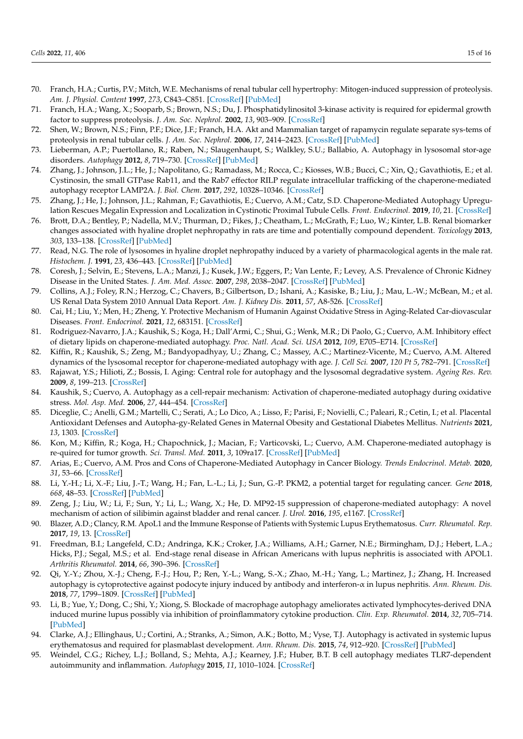- <span id="page-14-0"></span>70. Franch, H.A.; Curtis, P.V.; Mitch, W.E. Mechanisms of renal tubular cell hypertrophy: Mitogen-induced suppression of proteolysis. *Am. J. Physiol. Content* **1997**, *273*, C843–C851. [\[CrossRef\]](http://doi.org/10.1152/ajpcell.1997.273.3.C843) [\[PubMed\]](http://www.ncbi.nlm.nih.gov/pubmed/9316404)
- <span id="page-14-1"></span>71. Franch, H.A.; Wang, X.; Sooparb, S.; Brown, N.S.; Du, J. Phosphatidylinositol 3-kinase activity is required for epidermal growth factor to suppress proteolysis. *J. Am. Soc. Nephrol.* **2002**, *13*, 903–909. [\[CrossRef\]](http://doi.org/10.1681/ASN.V134903)
- <span id="page-14-2"></span>72. Shen, W.; Brown, N.S.; Finn, P.F.; Dice, J.F.; Franch, H.A. Akt and Mammalian target of rapamycin regulate separate sys-tems of proteolysis in renal tubular cells. *J. Am. Soc. Nephrol.* **2006**, *17*, 2414–2423. [\[CrossRef\]](http://doi.org/10.1681/ASN.2005111157) [\[PubMed\]](http://www.ncbi.nlm.nih.gov/pubmed/16885413)
- <span id="page-14-3"></span>73. Lieberman, A.P.; Puertollano, R.; Raben, N.; Slaugenhaupt, S.; Walkley, S.U.; Ballabio, A. Autophagy in lysosomal stor-age disorders. *Autophagy* **2012**, *8*, 719–730. [\[CrossRef\]](http://doi.org/10.4161/auto.19469) [\[PubMed\]](http://www.ncbi.nlm.nih.gov/pubmed/22647656)
- <span id="page-14-4"></span>74. Zhang, J.; Johnson, J.L.; He, J.; Napolitano, G.; Ramadass, M.; Rocca, C.; Kiosses, W.B.; Bucci, C.; Xin, Q.; Gavathiotis, E.; et al. Cystinosin, the small GTPase Rab11, and the Rab7 effector RILP regulate intracellular trafficking of the chaperone-mediated autophagy receptor LAMP2A. *J. Biol. Chem.* **2017**, *292*, 10328–10346. [\[CrossRef\]](http://doi.org/10.1074/jbc.M116.764076)
- <span id="page-14-5"></span>75. Zhang, J.; He, J.; Johnson, J.L.; Rahman, F.; Gavathiotis, E.; Cuervo, A.M.; Catz, S.D. Chaperone-Mediated Autophagy Upregulation Rescues Megalin Expression and Localization in Cystinotic Proximal Tubule Cells. *Front. Endocrinol.* **2019**, *10*, 21. [\[CrossRef\]](http://doi.org/10.3389/fendo.2019.00021)
- <span id="page-14-6"></span>76. Brott, D.A.; Bentley, P.; Nadella, M.V.; Thurman, D.; Fikes, J.; Cheatham, L.; McGrath, F.; Luo, W.; Kinter, L.B. Renal biomarker changes associated with hyaline droplet nephropathy in rats are time and potentially compound dependent. *Toxicology* **2013**, *303*, 133–138. [\[CrossRef\]](http://doi.org/10.1016/j.tox.2012.11.003) [\[PubMed\]](http://www.ncbi.nlm.nih.gov/pubmed/23159986)
- <span id="page-14-7"></span>77. Read, N.G. The role of lysosomes in hyaline droplet nephropathy induced by a variety of pharmacological agents in the male rat. *Histochem. J.* **1991**, *23*, 436–443. [\[CrossRef\]](http://doi.org/10.1007/BF01041373) [\[PubMed\]](http://www.ncbi.nlm.nih.gov/pubmed/1743991)
- <span id="page-14-8"></span>78. Coresh, J.; Selvin, E.; Stevens, L.A.; Manzi, J.; Kusek, J.W.; Eggers, P.; Van Lente, F.; Levey, A.S. Prevalence of Chronic Kidney Disease in the United States. *J. Am. Med. Assoc.* **2007**, *298*, 2038–2047. [\[CrossRef\]](http://doi.org/10.1001/jama.298.17.2038) [\[PubMed\]](http://www.ncbi.nlm.nih.gov/pubmed/17986697)
- <span id="page-14-9"></span>79. Collins, A.J.; Foley, R.N.; Herzog, C.; Chavers, B.; Gilbertson, D.; Ishani, A.; Kasiske, B.; Liu, J.; Mau, L.-W.; McBean, M.; et al. US Renal Data System 2010 Annual Data Report. *Am. J. Kidney Dis.* **2011**, *57*, A8-526. [\[CrossRef\]](http://doi.org/10.1053/j.ajkd.2010.10.007)
- <span id="page-14-10"></span>80. Cai, H.; Liu, Y.; Men, H.; Zheng, Y. Protective Mechanism of Humanin Against Oxidative Stress in Aging-Related Car-diovascular Diseases. *Front. Endocrinol.* **2021**, *12*, 683151. [\[CrossRef\]](http://doi.org/10.3389/fendo.2021.683151)
- <span id="page-14-11"></span>81. Rodriguez-Navarro, J.A.; Kaushik, S.; Koga, H.; Dall'Armi, C.; Shui, G.; Wenk, M.R.; Di Paolo, G.; Cuervo, A.M. Inhibitory effect of dietary lipids on chaperone-mediated autophagy. *Proc. Natl. Acad. Sci. USA* **2012**, *109*, E705–E714. [\[CrossRef\]](http://doi.org/10.1073/pnas.1113036109)
- <span id="page-14-12"></span>82. Kiffin, R.; Kaushik, S.; Zeng, M.; Bandyopadhyay, U.; Zhang, C.; Massey, A.C.; Martinez-Vicente, M.; Cuervo, A.M. Altered dynamics of the lysosomal receptor for chaperone-mediated autophagy with age. *J. Cell Sci.* **2007**, *120 Pt 5*, 782–791. [\[CrossRef\]](http://doi.org/10.1242/jcs.001073)
- <span id="page-14-13"></span>83. Rajawat, Y.S.; Hilioti, Z.; Bossis, I. Aging: Central role for autophagy and the lysosomal degradative system. *Ageing Res. Rev.* **2009**, *8*, 199–213. [\[CrossRef\]](http://doi.org/10.1016/j.arr.2009.05.001)
- <span id="page-14-14"></span>84. Kaushik, S.; Cuervo, A. Autophagy as a cell-repair mechanism: Activation of chaperone-mediated autophagy during oxidative stress. *Mol. Asp. Med.* **2006**, *27*, 444–454. [\[CrossRef\]](http://doi.org/10.1016/j.mam.2006.08.007)
- <span id="page-14-15"></span>85. Diceglie, C.; Anelli, G.M.; Martelli, C.; Serati, A.; Lo Dico, A.; Lisso, F.; Parisi, F.; Novielli, C.; Paleari, R.; Cetin, I.; et al. Placental Antioxidant Defenses and Autopha-gy-Related Genes in Maternal Obesity and Gestational Diabetes Mellitus. *Nutrients* **2021**, *13*, 1303. [\[CrossRef\]](http://doi.org/10.3390/nu13041303)
- <span id="page-14-16"></span>86. Kon, M.; Kiffin, R.; Koga, H.; Chapochnick, J.; Macian, F.; Varticovski, L.; Cuervo, A.M. Chaperone-mediated autophagy is re-quired for tumor growth. *Sci. Transl. Med.* **2011**, *3*, 109ra17. [\[CrossRef\]](http://doi.org/10.1126/scitranslmed.3003182) [\[PubMed\]](http://www.ncbi.nlm.nih.gov/pubmed/22089453)
- <span id="page-14-17"></span>87. Arias, E.; Cuervo, A.M. Pros and Cons of Chaperone-Mediated Autophagy in Cancer Biology. *Trends Endocrinol. Metab.* **2020**, *31*, 53–66. [\[CrossRef\]](http://doi.org/10.1016/j.tem.2019.09.007)
- <span id="page-14-18"></span>88. Li, Y.-H.; Li, X.-F.; Liu, J.-T.; Wang, H.; Fan, L.-L.; Li, J.; Sun, G.-P. PKM2, a potential target for regulating cancer. *Gene* **2018**, *668*, 48–53. [\[CrossRef\]](http://doi.org/10.1016/j.gene.2018.05.038) [\[PubMed\]](http://www.ncbi.nlm.nih.gov/pubmed/29775756)
- <span id="page-14-19"></span>89. Zeng, J.; Liu, W.; Li, F.; Sun, Y.; Li, L.; Wang, X.; He, D. MP92-15 suppression of chaperone-mediated autophagy: A novel mechanism of action of silibimin against bladder and renal cancer. *J. Urol.* **2016**, *195*, e1167. [\[CrossRef\]](http://doi.org/10.1016/j.juro.2016.02.2648)
- <span id="page-14-20"></span>90. Blazer, A.D.; Clancy, R.M. ApoL1 and the Immune Response of Patients with Systemic Lupus Erythematosus. *Curr. Rheumatol. Rep.* **2017**, *19*, 13. [\[CrossRef\]](http://doi.org/10.1007/s11926-017-0637-9)
- <span id="page-14-21"></span>91. Freedman, B.I.; Langefeld, C.D.; Andringa, K.K.; Croker, J.A.; Williams, A.H.; Garner, N.E.; Birmingham, D.J.; Hebert, L.A.; Hicks, P.J.; Segal, M.S.; et al. End-stage renal disease in African Americans with lupus nephritis is associated with APOL1. *Arthritis Rheumatol.* **2014**, *66*, 390–396. [\[CrossRef\]](http://doi.org/10.1002/art.38220)
- <span id="page-14-22"></span>92. Qi, Y.-Y.; Zhou, X.-J.; Cheng, F.-J.; Hou, P.; Ren, Y.-L.; Wang, S.-X.; Zhao, M.-H.; Yang, L.; Martinez, J.; Zhang, H. Increased autophagy is cytoprotective against podocyte injury induced by antibody and interferon-α in lupus nephritis. *Ann. Rheum. Dis.* **2018**, *77*, 1799–1809. [\[CrossRef\]](http://doi.org/10.1136/annrheumdis-2018-213028) [\[PubMed\]](http://www.ncbi.nlm.nih.gov/pubmed/30209031)
- 93. Li, B.; Yue, Y.; Dong, C.; Shi, Y.; Xiong, S. Blockade of macrophage autophagy ameliorates activated lymphocytes-derived DNA induced murine lupus possibly via inhibition of proinflammatory cytokine production. *Clin. Exp. Rheumatol.* **2014**, *32*, 705–714. [\[PubMed\]](http://www.ncbi.nlm.nih.gov/pubmed/25151985)
- 94. Clarke, A.J.; Ellinghaus, U.; Cortini, A.; Stranks, A.; Simon, A.K.; Botto, M.; Vyse, T.J. Autophagy is activated in systemic lupus erythematosus and required for plasmablast development. *Ann. Rheum. Dis.* **2015**, *74*, 912–920. [\[CrossRef\]](http://doi.org/10.1136/annrheumdis-2013-204343) [\[PubMed\]](http://www.ncbi.nlm.nih.gov/pubmed/24419333)
- <span id="page-14-23"></span>95. Weindel, C.G.; Richey, L.J.; Bolland, S.; Mehta, A.J.; Kearney, J.F.; Huber, B.T. B cell autophagy mediates TLR7-dependent autoimmunity and inflammation. *Autophagy* **2015**, *11*, 1010–1024. [\[CrossRef\]](http://doi.org/10.1080/15548627.2015.1052206)